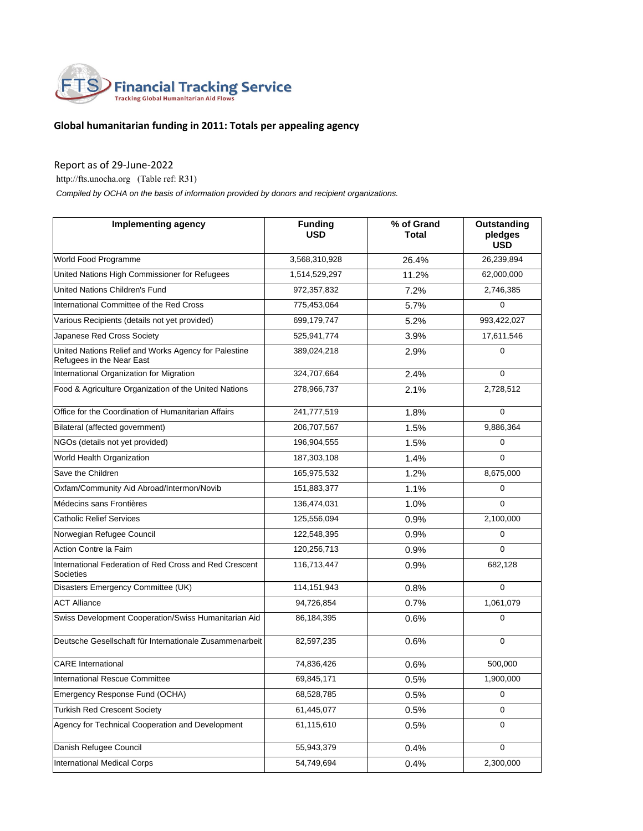

## **Global humanitarian funding in 2011: Totals per appealing agency**

## Report as of 29-June-2022

http://fts.unocha.org (Table ref: R31)

 *Compiled by OCHA on the basis of information provided by donors and recipient organizations.*

| <b>Implementing agency</b>                                                        | <b>Funding</b><br><b>USD</b> | % of Grand<br>Total | <b>Outstanding</b><br>pledges<br><b>USD</b> |
|-----------------------------------------------------------------------------------|------------------------------|---------------------|---------------------------------------------|
| World Food Programme                                                              | 3,568,310,928                | 26.4%               | 26,239,894                                  |
| United Nations High Commissioner for Refugees                                     | 1,514,529,297                | 11.2%               | 62,000,000                                  |
| United Nations Children's Fund                                                    | 972,357,832                  | 7.2%                | 2,746,385                                   |
| International Committee of the Red Cross                                          | 775,453,064                  | 5.7%                | 0                                           |
| Various Recipients (details not yet provided)                                     | 699,179,747                  | 5.2%                | 993,422,027                                 |
| Japanese Red Cross Society                                                        | 525,941,774                  | 3.9%                | 17,611,546                                  |
| United Nations Relief and Works Agency for Palestine<br>Refugees in the Near East | 389,024,218                  | 2.9%                | $\Omega$                                    |
| International Organization for Migration                                          | 324,707,664                  | 2.4%                | 0                                           |
| Food & Agriculture Organization of the United Nations                             | 278,966,737                  | 2.1%                | 2,728,512                                   |
| Office for the Coordination of Humanitarian Affairs                               | 241,777,519                  | 1.8%                | $\mathbf 0$                                 |
| Bilateral (affected government)                                                   | 206,707,567                  | 1.5%                | 9,886,364                                   |
| NGOs (details not yet provided)                                                   | 196,904,555                  | 1.5%                | 0                                           |
| World Health Organization                                                         | 187,303,108                  | 1.4%                | $\Omega$                                    |
| Save the Children                                                                 | 165,975,532                  | 1.2%                | 8,675,000                                   |
| Oxfam/Community Aid Abroad/Intermon/Novib                                         | 151,883,377                  | 1.1%                | 0                                           |
| Médecins sans Frontières                                                          | 136,474,031                  | 1.0%                | $\Omega$                                    |
| <b>Catholic Relief Services</b>                                                   | 125,556,094                  | 0.9%                | 2,100,000                                   |
| Norwegian Refugee Council                                                         | 122,548,395                  | 0.9%                | 0                                           |
| Action Contre la Faim                                                             | 120,256,713                  | 0.9%                | $\Omega$                                    |
| International Federation of Red Cross and Red Crescent<br>Societies               | 116,713,447                  | 0.9%                | 682,128                                     |
| Disasters Emergency Committee (UK)                                                | 114, 151, 943                | 0.8%                | $\Omega$                                    |
| <b>ACT Alliance</b>                                                               | 94,726,854                   | 0.7%                | 1,061,079                                   |
| Swiss Development Cooperation/Swiss Humanitarian Aid                              | 86,184,395                   | 0.6%                | $\mathbf 0$                                 |
| Deutsche Gesellschaft für Internationale Zusammenarbeit                           | 82,597,235                   | 0.6%                | $\mathbf 0$                                 |
| <b>CARE</b> International                                                         | 74,836,426                   | 0.6%                | 500,000                                     |
| International Rescue Committee                                                    | 69,845,171                   | 0.5%                | 1,900,000                                   |
| Emergency Response Fund (OCHA)                                                    | 68,528,785                   | 0.5%                | 0                                           |
| <b>Turkish Red Crescent Society</b>                                               | 61,445,077                   | 0.5%                | 0                                           |
| Agency for Technical Cooperation and Development                                  | 61,115,610                   | 0.5%                | 0                                           |
| Danish Refugee Council                                                            | 55,943,379                   | 0.4%                | 0                                           |
| International Medical Corps                                                       | 54,749,694                   | 0.4%                | 2,300,000                                   |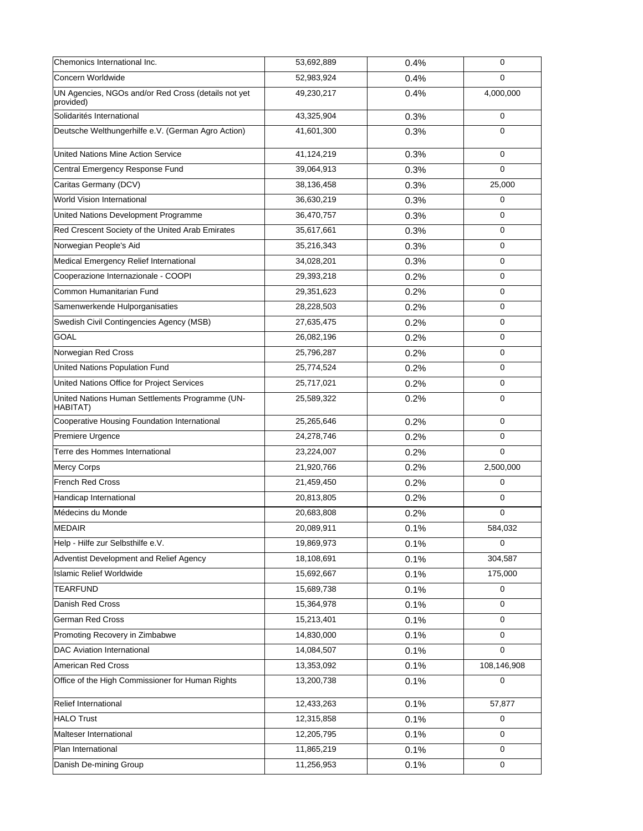| Chemonics International Inc.                                     | 53,692,889 | 0.4% | 0           |
|------------------------------------------------------------------|------------|------|-------------|
| Concern Worldwide                                                | 52,983,924 | 0.4% | $\Omega$    |
| UN Agencies, NGOs and/or Red Cross (details not yet<br>provided) | 49,230,217 | 0.4% | 4,000,000   |
| Solidarités International                                        | 43,325,904 | 0.3% | 0           |
| Deutsche Welthungerhilfe e.V. (German Agro Action)               | 41,601,300 | 0.3% | $\mathbf 0$ |
| United Nations Mine Action Service                               | 41,124,219 | 0.3% | $\mathbf 0$ |
| Central Emergency Response Fund                                  | 39,064,913 | 0.3% | $\mathbf 0$ |
| Caritas Germany (DCV)                                            | 38,136,458 | 0.3% | 25,000      |
| World Vision International                                       | 36,630,219 | 0.3% | $\mathbf 0$ |
| United Nations Development Programme                             | 36,470,757 | 0.3% | $\mathbf 0$ |
| Red Crescent Society of the United Arab Emirates                 | 35,617,661 | 0.3% | $\Omega$    |
| Norwegian People's Aid                                           | 35,216,343 | 0.3% | 0           |
| Medical Emergency Relief International                           | 34,028,201 | 0.3% | $\mathbf 0$ |
| Cooperazione Internazionale - COOPI                              | 29,393,218 | 0.2% | 0           |
| Common Humanitarian Fund                                         | 29,351,623 | 0.2% | 0           |
| Samenwerkende Hulporganisaties                                   | 28,228,503 | 0.2% | $\mathbf 0$ |
| Swedish Civil Contingencies Agency (MSB)                         | 27,635,475 | 0.2% | 0           |
| <b>GOAL</b>                                                      | 26,082,196 | 0.2% | $\mathbf 0$ |
| Norwegian Red Cross                                              | 25,796,287 | 0.2% | $\mathbf 0$ |
| United Nations Population Fund                                   | 25,774,524 | 0.2% | 0           |
| United Nations Office for Project Services                       | 25,717,021 | 0.2% | $\mathbf 0$ |
| United Nations Human Settlements Programme (UN-<br>HABITAT)      | 25,589,322 | 0.2% | $\mathbf 0$ |
| Cooperative Housing Foundation International                     | 25,265,646 | 0.2% | $\mathbf 0$ |
| Premiere Urgence                                                 | 24,278,746 | 0.2% | 0           |
| Terre des Hommes International                                   | 23,224,007 | 0.2% | $\Omega$    |
| Mercy Corps                                                      | 21,920,766 | 0.2% | 2,500,000   |
| French Red Cross                                                 | 21,459,450 | 0.2% | $\mathbf 0$ |
| Handicap International                                           | 20,813,805 | 0.2% | $\mathbf 0$ |
| Médecins du Monde                                                | 20,683,808 | 0.2% | 0           |
| MEDAIR                                                           | 20,089,911 | 0.1% | 584,032     |
| Help - Hilfe zur Selbsthilfe e.V.                                | 19,869,973 | 0.1% | 0           |
| Adventist Development and Relief Agency                          | 18,108,691 | 0.1% | 304,587     |
| <b>Islamic Relief Worldwide</b>                                  | 15,692,667 | 0.1% | 175,000     |
| <b>TEARFUND</b>                                                  | 15,689,738 | 0.1% | $\mathbf 0$ |
| Danish Red Cross                                                 | 15,364,978 | 0.1% | 0           |
| German Red Cross                                                 | 15,213,401 | 0.1% | $\mathbf 0$ |
| Promoting Recovery in Zimbabwe                                   | 14,830,000 | 0.1% | $\mathbf 0$ |
| <b>DAC Aviation International</b>                                | 14,084,507 | 0.1% | $\mathbf 0$ |
| American Red Cross                                               | 13,353,092 | 0.1% | 108,146,908 |
| Office of the High Commissioner for Human Rights                 | 13,200,738 | 0.1% | $\mathbf 0$ |
| Relief International                                             | 12,433,263 | 0.1% | 57,877      |
| <b>HALO Trust</b>                                                | 12,315,858 | 0.1% | 0           |
| Malteser International                                           | 12,205,795 | 0.1% | $\mathbf 0$ |
| Plan International                                               | 11,865,219 | 0.1% | $\mathbf 0$ |
| Danish De-mining Group                                           | 11,256,953 | 0.1% | $\mathbf 0$ |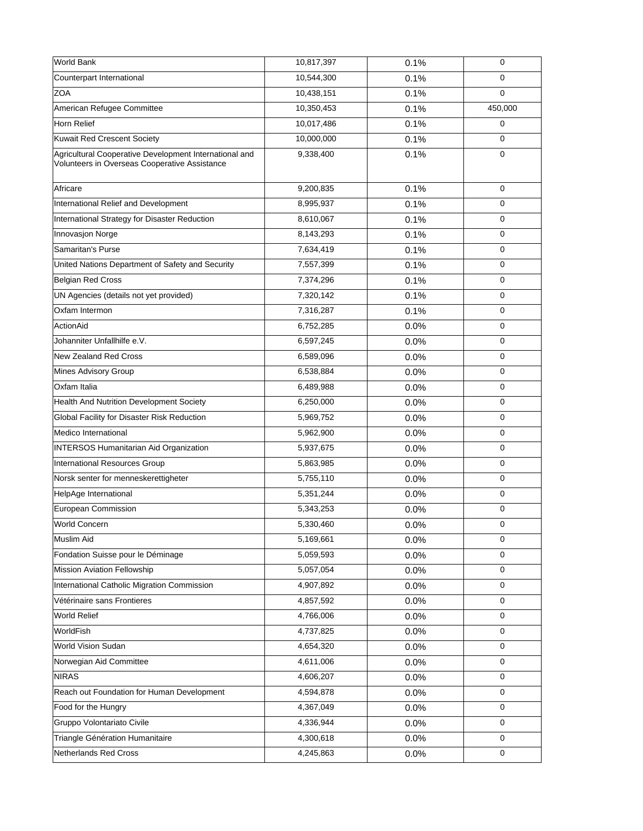| World Bank                                                                                              | 10,817,397 | 0.1%    | $\mathbf 0$ |
|---------------------------------------------------------------------------------------------------------|------------|---------|-------------|
| Counterpart International                                                                               | 10,544,300 | 0.1%    | $\mathbf 0$ |
| <b>ZOA</b>                                                                                              | 10,438,151 | 0.1%    | $\mathbf 0$ |
| American Refugee Committee                                                                              | 10,350,453 | 0.1%    | 450,000     |
| Horn Relief                                                                                             | 10,017,486 | 0.1%    | $\mathbf 0$ |
| <b>Kuwait Red Crescent Society</b>                                                                      | 10,000,000 | 0.1%    | $\mathbf 0$ |
| Agricultural Cooperative Development International and<br>Volunteers in Overseas Cooperative Assistance | 9,338,400  | 0.1%    | $\mathbf 0$ |
| Africare                                                                                                | 9,200,835  | 0.1%    | $\mathbf 0$ |
| International Relief and Development                                                                    | 8,995,937  | 0.1%    | $\mathbf 0$ |
| International Strategy for Disaster Reduction                                                           | 8,610,067  | 0.1%    | $\mathbf 0$ |
| Innovasjon Norge                                                                                        | 8,143,293  | 0.1%    | $\mathbf 0$ |
| Samaritan's Purse                                                                                       | 7,634,419  | 0.1%    | $\mathbf 0$ |
| United Nations Department of Safety and Security                                                        | 7,557,399  | 0.1%    | $\mathbf 0$ |
| <b>Belgian Red Cross</b>                                                                                | 7,374,296  | 0.1%    | $\mathbf 0$ |
| UN Agencies (details not yet provided)                                                                  | 7,320,142  | 0.1%    | 0           |
| Oxfam Intermon                                                                                          | 7,316,287  | 0.1%    | $\mathbf 0$ |
| ActionAid                                                                                               | 6,752,285  | 0.0%    | $\mathbf 0$ |
| Johanniter Unfallhilfe e.V.                                                                             | 6,597,245  | 0.0%    | $\mathbf 0$ |
| <b>New Zealand Red Cross</b>                                                                            | 6,589,096  | 0.0%    | $\mathbf 0$ |
| Mines Advisory Group                                                                                    | 6,538,884  | 0.0%    | $\mathbf 0$ |
| Oxfam Italia                                                                                            | 6,489,988  | 0.0%    | $\mathbf 0$ |
| Health And Nutrition Development Society                                                                | 6,250,000  | 0.0%    | $\mathbf 0$ |
| <b>Global Facility for Disaster Risk Reduction</b>                                                      | 5,969,752  | 0.0%    | 0           |
| Medico International                                                                                    | 5,962,900  | 0.0%    | $\mathbf 0$ |
| <b>INTERSOS Humanitarian Aid Organization</b>                                                           | 5,937,675  | 0.0%    | 0           |
| International Resources Group                                                                           | 5,863,985  | 0.0%    | $\mathbf 0$ |
| Norsk senter for menneskerettigheter                                                                    | 5,755,110  | 0.0%    | $\mathbf 0$ |
| HelpAge International                                                                                   | 5,351,244  | 0.0%    | $\mathbf 0$ |
| European Commission                                                                                     | 5,343,253  | 0.0%    | 0           |
| <b>World Concern</b>                                                                                    | 5,330,460  | 0.0%    | 0           |
| Muslim Aid                                                                                              | 5,169,661  | $0.0\%$ | 0           |
| Fondation Suisse pour le Déminage                                                                       | 5,059,593  | 0.0%    | $\mathbf 0$ |
| Mission Aviation Fellowship                                                                             | 5,057,054  | 0.0%    | $\mathbf 0$ |
| International Catholic Migration Commission                                                             | 4,907,892  | 0.0%    | 0           |
| Vétérinaire sans Frontieres                                                                             | 4,857,592  | 0.0%    | 0           |
| World Relief                                                                                            | 4,766,006  | 0.0%    | 0           |
| WorldFish                                                                                               | 4,737,825  | 0.0%    | $\pmb{0}$   |
| World Vision Sudan                                                                                      | 4,654,320  | 0.0%    | 0           |
| Norwegian Aid Committee                                                                                 | 4,611,006  | 0.0%    | 0           |
| <b>NIRAS</b>                                                                                            | 4,606,207  | 0.0%    | $\mathbf 0$ |
| Reach out Foundation for Human Development                                                              | 4,594,878  | 0.0%    | $\pmb{0}$   |
| Food for the Hungry                                                                                     | 4,367,049  | 0.0%    | $\mathbf 0$ |
| Gruppo Volontariato Civile                                                                              | 4,336,944  | 0.0%    | $\mathbf 0$ |
| Triangle Génération Humanitaire                                                                         | 4,300,618  | 0.0%    | 0           |
| Netherlands Red Cross                                                                                   | 4,245,863  | 0.0%    | $\mathbf 0$ |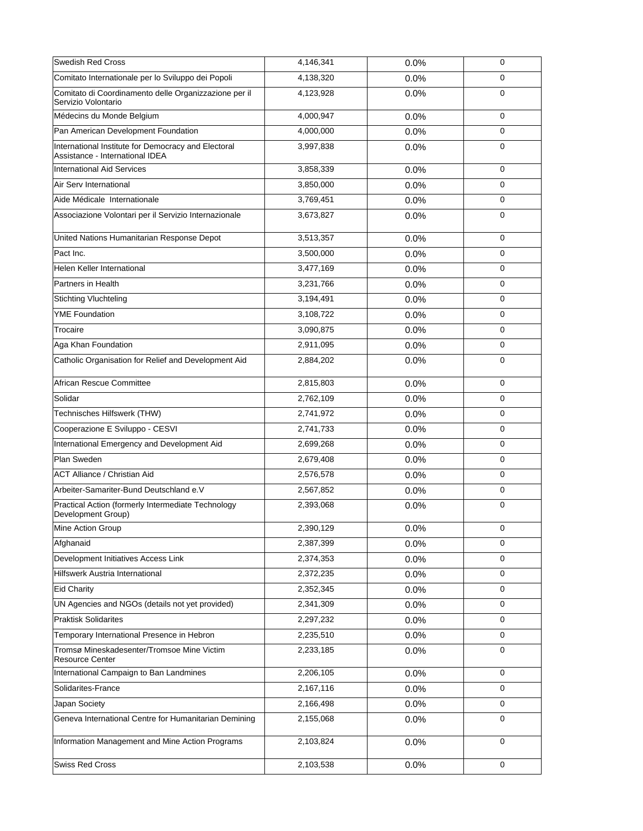| <b>Swedish Red Cross</b>                                                               | 4,146,341 | 0.0%    | $\mathbf 0$ |
|----------------------------------------------------------------------------------------|-----------|---------|-------------|
| Comitato Internationale per lo Sviluppo dei Popoli                                     | 4,138,320 | 0.0%    | $\mathbf 0$ |
| Comitato di Coordinamento delle Organizzazione per il<br>Servizio Volontario           | 4,123,928 | 0.0%    | 0           |
| Médecins du Monde Belgium                                                              | 4,000,947 | 0.0%    | $\mathbf 0$ |
| Pan American Development Foundation                                                    | 4,000,000 | $0.0\%$ | $\mathbf 0$ |
| International Institute for Democracy and Electoral<br>Assistance - International IDEA | 3,997,838 | 0.0%    | $\mathbf 0$ |
| <b>International Aid Services</b>                                                      | 3,858,339 | 0.0%    | $\mathbf 0$ |
| Air Serv International                                                                 | 3,850,000 | 0.0%    | $\mathbf 0$ |
| Aide Médicale Internationale                                                           | 3,769,451 | 0.0%    | 0           |
| Associazione Volontari per il Servizio Internazionale                                  | 3,673,827 | 0.0%    | 0           |
| United Nations Humanitarian Response Depot                                             | 3,513,357 | 0.0%    | 0           |
| Pact Inc.                                                                              | 3,500,000 | 0.0%    | 0           |
| Helen Keller International                                                             | 3,477,169 | 0.0%    | 0           |
| Partners in Health                                                                     | 3,231,766 | 0.0%    | $\mathbf 0$ |
| <b>Stichting Vluchteling</b>                                                           | 3,194,491 | 0.0%    | 0           |
| <b>YME Foundation</b>                                                                  | 3,108,722 | 0.0%    | 0           |
| Trocaire                                                                               | 3,090,875 | 0.0%    | $\mathbf 0$ |
| Aga Khan Foundation                                                                    | 2,911,095 | 0.0%    | 0           |
| Catholic Organisation for Relief and Development Aid                                   | 2,884,202 | 0.0%    | $\mathbf 0$ |
| African Rescue Committee                                                               | 2,815,803 | 0.0%    | $\mathbf 0$ |
| Solidar                                                                                | 2,762,109 | 0.0%    | $\mathbf 0$ |
| Technisches Hilfswerk (THW)                                                            | 2,741,972 | 0.0%    | 0           |
| Cooperazione E Sviluppo - CESVI                                                        | 2,741,733 | 0.0%    | $\mathbf 0$ |
| International Emergency and Development Aid                                            | 2,699,268 | 0.0%    | $\Omega$    |
| Plan Sweden                                                                            | 2,679,408 | 0.0%    | 0           |
| <b>ACT Alliance / Christian Aid</b>                                                    | 2,576,578 | 0.0%    | $\mathbf 0$ |
| Arbeiter-Samariter-Bund Deutschland e.V                                                | 2,567,852 | 0.0%    | 0           |
| Practical Action (formerly Intermediate Technology<br>Development Group)               | 2,393,068 | 0.0%    | $\mathbf 0$ |
| Mine Action Group                                                                      | 2,390,129 | 0.0%    | 0           |
| Afghanaid                                                                              | 2,387,399 | 0.0%    | 0           |
| Development Initiatives Access Link                                                    | 2,374,353 | 0.0%    | 0           |
| Hilfswerk Austria International                                                        | 2,372,235 | 0.0%    | $\mathbf 0$ |
| <b>Eid Charity</b>                                                                     | 2,352,345 | 0.0%    | 0           |
| UN Agencies and NGOs (details not yet provided)                                        | 2,341,309 | 0.0%    | 0           |
| <b>Praktisk Solidarites</b>                                                            | 2,297,232 | 0.0%    | 0           |
| Temporary International Presence in Hebron                                             | 2,235,510 | 0.0%    | $\mathbf 0$ |
| Tromsø Mineskadesenter/Tromsoe Mine Victim<br><b>Resource Center</b>                   | 2,233,185 | 0.0%    | $\mathbf 0$ |
| International Campaign to Ban Landmines                                                | 2,206,105 | 0.0%    | 0           |
| Solidarites-France                                                                     | 2,167,116 | 0.0%    | 0           |
| Japan Society                                                                          | 2,166,498 | 0.0%    | 0           |
| Geneva International Centre for Humanitarian Demining                                  | 2,155,068 | 0.0%    | $\mathbf 0$ |
| Information Management and Mine Action Programs                                        | 2,103,824 | 0.0%    | 0           |
| <b>Swiss Red Cross</b>                                                                 | 2,103,538 | 0.0%    | 0           |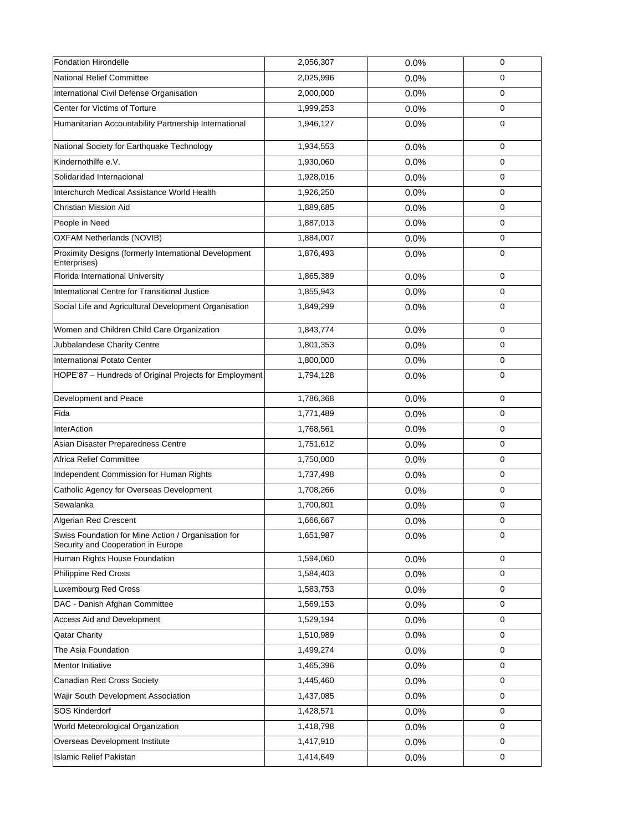| <b>Fondation Hirondelle</b>                                                               | 2,056,307 | 0.0% | $\mathbf 0$ |
|-------------------------------------------------------------------------------------------|-----------|------|-------------|
| <b>National Relief Committee</b>                                                          | 2,025,996 | 0.0% | $\mathbf 0$ |
| International Civil Defense Organisation                                                  | 2,000,000 | 0.0% | $\mathbf 0$ |
| Center for Victims of Torture                                                             | 1,999,253 | 0.0% | 0           |
| Humanitarian Accountability Partnership International                                     | 1,946,127 | 0.0% | $\mathbf 0$ |
| National Society for Earthquake Technology                                                | 1,934,553 | 0.0% | $\mathbf 0$ |
| Kindernothilfe e.V.                                                                       | 1,930,060 | 0.0% | $\mathbf 0$ |
| Solidaridad Internacional                                                                 | 1,928,016 | 0.0% | $\mathbf 0$ |
| Interchurch Medical Assistance World Health                                               | 1,926,250 | 0.0% | $\Omega$    |
| Christian Mission Aid                                                                     | 1,889,685 | 0.0% | $\mathbf 0$ |
| People in Need                                                                            | 1,887,013 | 0.0% | $\mathbf 0$ |
| OXFAM Netherlands (NOVIB)                                                                 | 1,884,007 | 0.0% | $\mathbf 0$ |
| Proximity Designs (formerly International Development<br>Enterprises)                     | 1,876,493 | 0.0% | $\mathbf 0$ |
| Florida International University                                                          | 1,865,389 | 0.0% | $\mathbf 0$ |
| International Centre for Transitional Justice                                             | 1,855,943 | 0.0% | 0           |
| Social Life and Agricultural Development Organisation                                     | 1,849,299 | 0.0% | $\mathbf 0$ |
| Women and Children Child Care Organization                                                | 1,843,774 | 0.0% | $\mathbf 0$ |
| Jubbalandese Charity Centre                                                               | 1,801,353 | 0.0% | $\mathbf 0$ |
| <b>International Potato Center</b>                                                        | 1,800,000 | 0.0% | 0           |
| HOPE'87 - Hundreds of Original Projects for Employment                                    | 1,794,128 | 0.0% | $\mathbf 0$ |
| Development and Peace                                                                     | 1,786,368 | 0.0% | 0           |
| Fida                                                                                      | 1,771,489 | 0.0% | $\mathbf 0$ |
| <b>InterAction</b>                                                                        | 1,768,561 | 0.0% | $\mathbf 0$ |
| Asian Disaster Preparedness Centre                                                        | 1,751,612 | 0.0% | $\Omega$    |
| <b>Africa Relief Committee</b>                                                            | 1,750,000 | 0.0% | $\mathbf 0$ |
| Independent Commission for Human Rights                                                   | 1,737,498 | 0.0% | $\mathbf 0$ |
| Catholic Agency for Overseas Development                                                  | 1,708,266 | 0.0% | 0           |
| Sewalanka                                                                                 | 1,700,801 | 0.0% | 0           |
| Algerian Red Crescent                                                                     | 1,666,667 | 0.0% | 0           |
| Swiss Foundation for Mine Action / Organisation for<br>Security and Cooperation in Europe | 1,651,987 | 0.0% | $\mathbf 0$ |
| Human Rights House Foundation                                                             | 1,594,060 | 0.0% | $\mathbf 0$ |
| Philippine Red Cross                                                                      | 1,584,403 | 0.0% | $\mathbf 0$ |
| <b>Luxembourg Red Cross</b>                                                               | 1,583,753 | 0.0% | $\mathbf 0$ |
| DAC - Danish Afghan Committee                                                             | 1,569,153 | 0.0% | $\mathbf 0$ |
| Access Aid and Development                                                                | 1,529,194 | 0.0% | 0           |
| <b>Qatar Charity</b>                                                                      | 1,510,989 | 0.0% | $\mathbf 0$ |
| The Asia Foundation                                                                       | 1,499,274 | 0.0% | 0           |
| Mentor Initiative                                                                         | 1,465,396 | 0.0% | $\mathbf 0$ |
| Canadian Red Cross Society                                                                | 1,445,460 | 0.0% | 0           |
| Wajir South Development Association                                                       | 1,437,085 | 0.0% | $\mathbf 0$ |
| <b>SOS Kinderdorf</b>                                                                     | 1,428,571 | 0.0% | $\mathbf 0$ |
| World Meteorological Organization                                                         | 1,418,798 | 0.0% | 0           |
| Overseas Development Institute                                                            | 1,417,910 | 0.0% | $\mathbf 0$ |
| <b>Islamic Relief Pakistan</b>                                                            | 1,414,649 | 0.0% | 0           |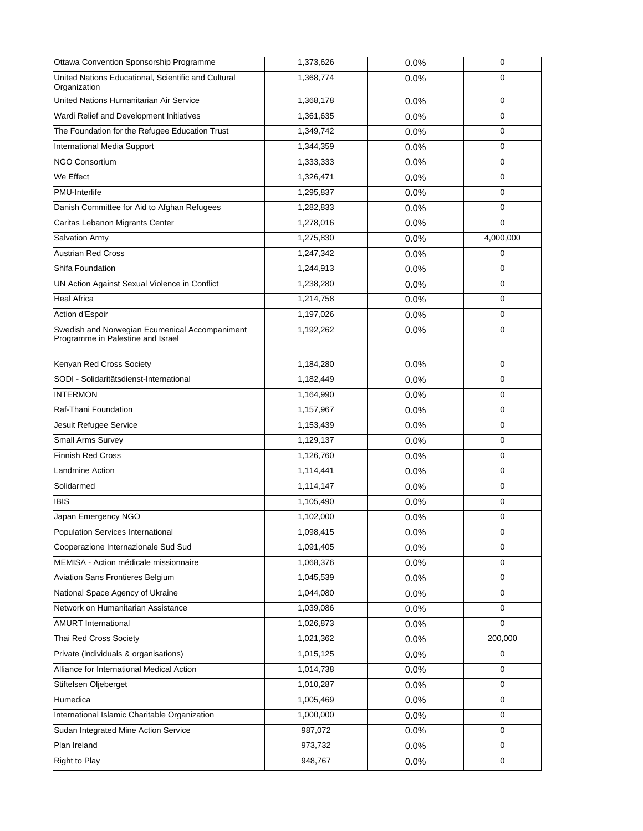| Ottawa Convention Sponsorship Programme                                             | 1,373,626 | 0.0% | $\mathbf 0$ |
|-------------------------------------------------------------------------------------|-----------|------|-------------|
| United Nations Educational, Scientific and Cultural<br>Organization                 | 1,368,774 | 0.0% | $\mathbf 0$ |
| United Nations Humanitarian Air Service                                             | 1,368,178 | 0.0% | $\mathbf 0$ |
| Wardi Relief and Development Initiatives                                            | 1,361,635 | 0.0% | $\mathbf 0$ |
| The Foundation for the Refugee Education Trust                                      | 1,349,742 | 0.0% | $\mathbf 0$ |
| International Media Support                                                         | 1,344,359 | 0.0% | $\mathbf 0$ |
| <b>NGO Consortium</b>                                                               | 1,333,333 | 0.0% | $\mathbf 0$ |
| We Effect                                                                           | 1,326,471 | 0.0% | $\mathbf 0$ |
| PMU-Interlife                                                                       | 1,295,837 | 0.0% | $\mathbf 0$ |
| Danish Committee for Aid to Afghan Refugees                                         | 1,282,833 | 0.0% | 0           |
| Caritas Lebanon Migrants Center                                                     | 1,278,016 | 0.0% | $\mathbf 0$ |
| Salvation Army                                                                      | 1,275,830 | 0.0% | 4,000,000   |
| <b>Austrian Red Cross</b>                                                           | 1,247,342 | 0.0% | 0           |
| Shifa Foundation                                                                    | 1,244,913 | 0.0% | $\mathbf 0$ |
| UN Action Against Sexual Violence in Conflict                                       | 1,238,280 | 0.0% | $\mathbf 0$ |
| <b>Heal Africa</b>                                                                  | 1,214,758 | 0.0% | $\mathbf 0$ |
| Action d'Espoir                                                                     | 1,197,026 | 0.0% | $\mathbf 0$ |
| Swedish and Norwegian Ecumenical Accompaniment<br>Programme in Palestine and Israel | 1,192,262 | 0.0% | $\mathbf 0$ |
| Kenyan Red Cross Society                                                            | 1,184,280 | 0.0% | $\Omega$    |
| SODI - Solidaritätsdienst-International                                             | 1,182,449 | 0.0% | 0           |
| <b>INTERMON</b>                                                                     | 1,164,990 | 0.0% | $\mathbf 0$ |
| Raf-Thani Foundation                                                                | 1,157,967 | 0.0% | $\mathbf 0$ |
| Jesuit Refugee Service                                                              | 1,153,439 | 0.0% | $\mathbf 0$ |
| <b>Small Arms Survey</b>                                                            | 1,129,137 | 0.0% | $\mathbf 0$ |
| <b>Finnish Red Cross</b>                                                            | 1,126,760 | 0.0% | $\mathbf 0$ |
| Landmine Action                                                                     | 1,114,441 | 0.0% | $\mathbf 0$ |
| Solidarmed                                                                          | 1,114,147 | 0.0% | $\mathbf 0$ |
| <b>IBIS</b>                                                                         | 1,105,490 | 0.0% | $\mathbf 0$ |
| Japan Emergency NGO                                                                 | 1,102,000 | 0.0% | $\mathbf 0$ |
| Population Services International                                                   | 1,098,415 | 0.0% | 0           |
| Cooperazione Internazionale Sud Sud                                                 | 1,091,405 | 0.0% | $\mathbf 0$ |
| MEMISA - Action médicale missionnaire                                               | 1,068,376 | 0.0% | 0           |
| Aviation Sans Frontieres Belgium                                                    | 1,045,539 | 0.0% | $\mathbf 0$ |
| National Space Agency of Ukraine                                                    | 1,044,080 | 0.0% | 0           |
| Network on Humanitarian Assistance                                                  | 1,039,086 | 0.0% | $\mathbf 0$ |
| <b>AMURT International</b>                                                          | 1,026,873 | 0.0% | $\mathbf 0$ |
| Thai Red Cross Society                                                              | 1,021,362 | 0.0% | 200,000     |
| Private (individuals & organisations)                                               | 1,015,125 | 0.0% | $\mathbf 0$ |
| Alliance for International Medical Action                                           | 1,014,738 | 0.0% | $\mathbf 0$ |
| Stiftelsen Oljeberget                                                               | 1,010,287 | 0.0% | $\mathbf 0$ |
| Humedica                                                                            | 1,005,469 | 0.0% | 0           |
| International Islamic Charitable Organization                                       | 1,000,000 | 0.0% | $\mathbf 0$ |
| Sudan Integrated Mine Action Service                                                | 987,072   | 0.0% | 0           |
| Plan Ireland                                                                        | 973,732   | 0.0% | $\mathbf 0$ |
| <b>Right to Play</b>                                                                | 948,767   | 0.0% | 0           |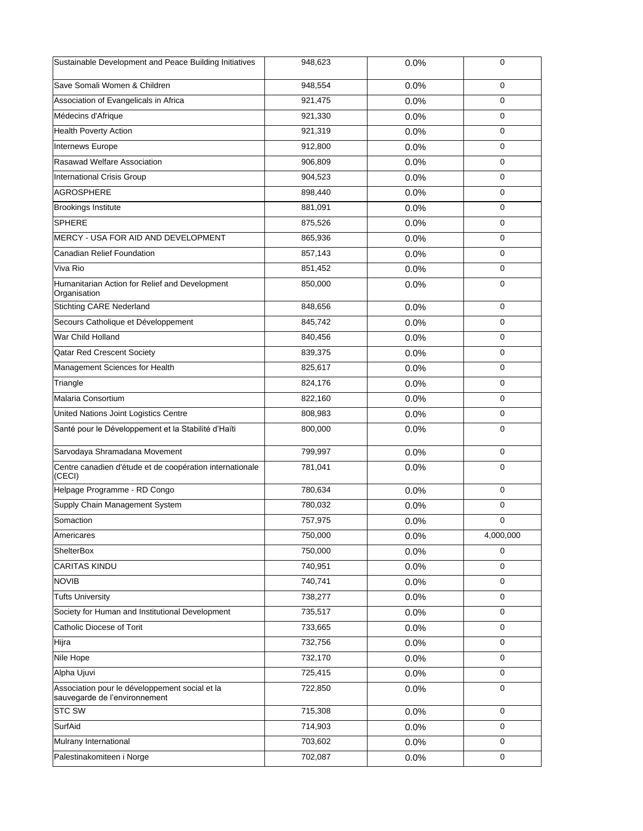| Sustainable Development and Peace Building Initiatives                          | 948,623 | 0.0% | 0           |
|---------------------------------------------------------------------------------|---------|------|-------------|
| Save Somali Women & Children                                                    | 948,554 | 0.0% | $\mathbf 0$ |
| Association of Evangelicals in Africa                                           | 921,475 | 0.0% | 0           |
| Médecins d'Afrique                                                              | 921,330 | 0.0% | $\mathbf 0$ |
| <b>Health Poverty Action</b>                                                    | 921,319 | 0.0% | $\mathbf 0$ |
| Internews Europe                                                                | 912,800 | 0.0% | 0           |
| Rasawad Welfare Association                                                     | 906,809 | 0.0% | $\mathbf 0$ |
| <b>International Crisis Group</b>                                               | 904,523 | 0.0% | $\mathbf 0$ |
| <b>AGROSPHERE</b>                                                               | 898,440 | 0.0% | $\mathbf 0$ |
| <b>Brookings Institute</b>                                                      | 881,091 | 0.0% | $\mathbf 0$ |
| <b>SPHERE</b>                                                                   | 875,526 | 0.0% | $\mathbf 0$ |
| MERCY - USA FOR AID AND DEVELOPMENT                                             | 865,936 | 0.0% | $\mathbf 0$ |
| Canadian Relief Foundation                                                      | 857,143 | 0.0% | 0           |
| Viva Rio                                                                        | 851,452 | 0.0% | $\mathbf 0$ |
| Humanitarian Action for Relief and Development<br>Organisation                  | 850,000 | 0.0% | 0           |
| <b>Stichting CARE Nederland</b>                                                 | 848,656 | 0.0% | $\mathbf 0$ |
| Secours Catholique et Développement                                             | 845,742 | 0.0% | 0           |
| War Child Holland                                                               | 840,456 | 0.0% | $\mathbf 0$ |
| Qatar Red Crescent Society                                                      | 839,375 | 0.0% | $\mathbf 0$ |
| Management Sciences for Health                                                  | 825,617 | 0.0% | $\mathbf 0$ |
| Triangle                                                                        | 824,176 | 0.0% | $\mathbf 0$ |
| Malaria Consortium                                                              | 822,160 | 0.0% | 0           |
| United Nations Joint Logistics Centre                                           | 808,983 | 0.0% | $\mathbf 0$ |
| Santé pour le Développement et la Stabilité d'Haïti                             | 800,000 | 0.0% | $\mathbf 0$ |
| Sarvodaya Shramadana Movement                                                   | 799,997 | 0.0% | $\mathbf 0$ |
| Centre canadien d'étude et de coopération internationale<br>(CECI)              | 781,041 | 0.0% | $\mathbf 0$ |
| Helpage Programme - RD Congo                                                    | 780,634 | 0.0% | $\mathbf 0$ |
| Supply Chain Management System                                                  | 780,032 | 0.0% | 0           |
| Somaction                                                                       | 757,975 | 0.0% | $\mathbf 0$ |
| Americares                                                                      | 750,000 | 0.0% | 4,000,000   |
| ShelterBox                                                                      | 750,000 | 0.0% | $\mathbf 0$ |
| <b>CARITAS KINDU</b>                                                            | 740,951 | 0.0% | $\mathbf 0$ |
| <b>NOVIB</b>                                                                    | 740,741 | 0.0% | $\mathbf 0$ |
| <b>Tufts University</b>                                                         | 738,277 | 0.0% | $\mathbf 0$ |
| Society for Human and Institutional Development                                 | 735,517 | 0.0% | 0           |
| Catholic Diocese of Torit                                                       | 733,665 | 0.0% | $\mathbf 0$ |
| Hijra                                                                           | 732,756 | 0.0% | $\mathbf 0$ |
| Nile Hope                                                                       | 732,170 | 0.0% | $\mathbf 0$ |
| Alpha Ujuvi                                                                     | 725,415 | 0.0% | $\mathbf 0$ |
| Association pour le développement social et la<br>sauvegarde de l'environnement | 722,850 | 0.0% | $\mathbf 0$ |
| <b>STC SW</b>                                                                   | 715,308 | 0.0% | $\mathbf 0$ |
| SurfAid                                                                         | 714,903 | 0.0% | $\mathbf 0$ |
| Mulrany International                                                           | 703,602 | 0.0% | $\mathbf 0$ |
| Palestinakomiteen i Norge                                                       | 702,087 | 0.0% | 0           |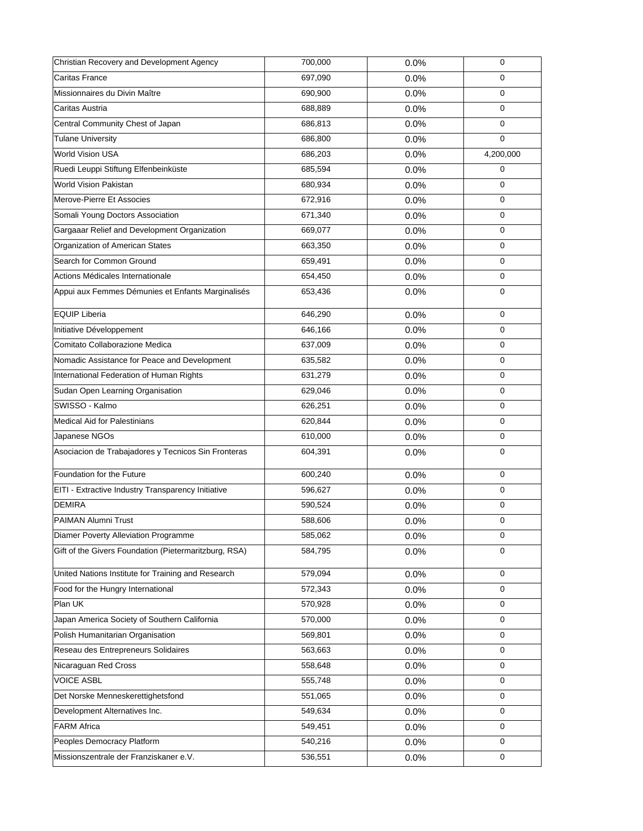| Christian Recovery and Development Agency             | 700,000 | 0.0% | 0           |
|-------------------------------------------------------|---------|------|-------------|
| Caritas France                                        | 697,090 | 0.0% | $\mathbf 0$ |
| Missionnaires du Divin Maître                         | 690,900 | 0.0% | $\mathbf 0$ |
| Caritas Austria                                       | 688,889 | 0.0% | 0           |
| Central Community Chest of Japan                      | 686,813 | 0.0% | $\mathbf 0$ |
| <b>Tulane University</b>                              | 686,800 | 0.0% | $\mathbf 0$ |
| World Vision USA                                      | 686,203 | 0.0% | 4,200,000   |
| Ruedi Leuppi Stiftung Elfenbeinküste                  | 685,594 | 0.0% | 0           |
| World Vision Pakistan                                 | 680,934 | 0.0% | 0           |
| Merove-Pierre Et Associes                             | 672,916 | 0.0% | $\mathbf 0$ |
| Somali Young Doctors Association                      | 671,340 | 0.0% | $\mathbf 0$ |
| Gargaaar Relief and Development Organization          | 669,077 | 0.0% | $\mathbf 0$ |
| Organization of American States                       | 663,350 | 0.0% | 0           |
| Search for Common Ground                              | 659,491 | 0.0% | $\mathbf 0$ |
| Actions Médicales Internationale                      | 654,450 | 0.0% | 0           |
| Appui aux Femmes Démunies et Enfants Marginalisés     | 653,436 | 0.0% | $\mathbf 0$ |
| <b>EQUIP Liberia</b>                                  | 646,290 | 0.0% | $\mathbf 0$ |
| Initiative Développement                              | 646,166 | 0.0% | 0           |
| Comitato Collaborazione Medica                        | 637,009 | 0.0% | $\mathbf 0$ |
| Nomadic Assistance for Peace and Development          | 635,582 | 0.0% | 0           |
| International Federation of Human Rights              | 631,279 | 0.0% | $\mathbf 0$ |
| Sudan Open Learning Organisation                      | 629,046 | 0.0% | $\mathbf 0$ |
| SWISSO - Kalmo                                        | 626,251 | 0.0% | $\mathbf 0$ |
| <b>Medical Aid for Palestinians</b>                   | 620,844 | 0.0% | 0           |
| Japanese NGOs                                         | 610,000 | 0.0% | 0           |
| Asociacion de Trabajadores y Tecnicos Sin Fronteras   | 604,391 | 0.0% | $\mathbf 0$ |
| Foundation for the Future                             | 600,240 | 0.0% | 0           |
| EITI - Extractive Industry Transparency Initiative    | 596,627 | 0.0% | $\mathbf 0$ |
| <b>DEMIRA</b>                                         | 590,524 | 0.0% | 0           |
| PAIMAN Alumni Trust                                   | 588,606 | 0.0% | $\mathbf 0$ |
| Diamer Poverty Alleviation Programme                  | 585,062 | 0.0% | $\mathbf 0$ |
| Gift of the Givers Foundation (Pietermaritzburg, RSA) | 584,795 | 0.0% | $\mathbf 0$ |
| United Nations Institute for Training and Research    | 579,094 | 0.0% | 0           |
| Food for the Hungry International                     | 572,343 | 0.0% | $\mathbf 0$ |
| Plan UK                                               | 570,928 | 0.0% | 0           |
| Japan America Society of Southern California          | 570,000 | 0.0% | $\mathbf 0$ |
| Polish Humanitarian Organisation                      | 569,801 | 0.0% | $\mathbf 0$ |
| Reseau des Entrepreneurs Solidaires                   | 563,663 | 0.0% | 0           |
| Nicaraguan Red Cross                                  | 558,648 | 0.0% | $\mathbf 0$ |
| <b>VOICE ASBL</b>                                     | 555,748 | 0.0% | 0           |
| Det Norske Menneskerettighetsfond                     | 551,065 | 0.0% | $\mathbf 0$ |
| Development Alternatives Inc.                         | 549,634 | 0.0% | 0           |
| <b>FARM Africa</b>                                    | 549,451 | 0.0% | 0           |
| Peoples Democracy Platform                            | 540,216 | 0.0% | 0           |
| Missionszentrale der Franziskaner e.V.                | 536,551 | 0.0% | 0           |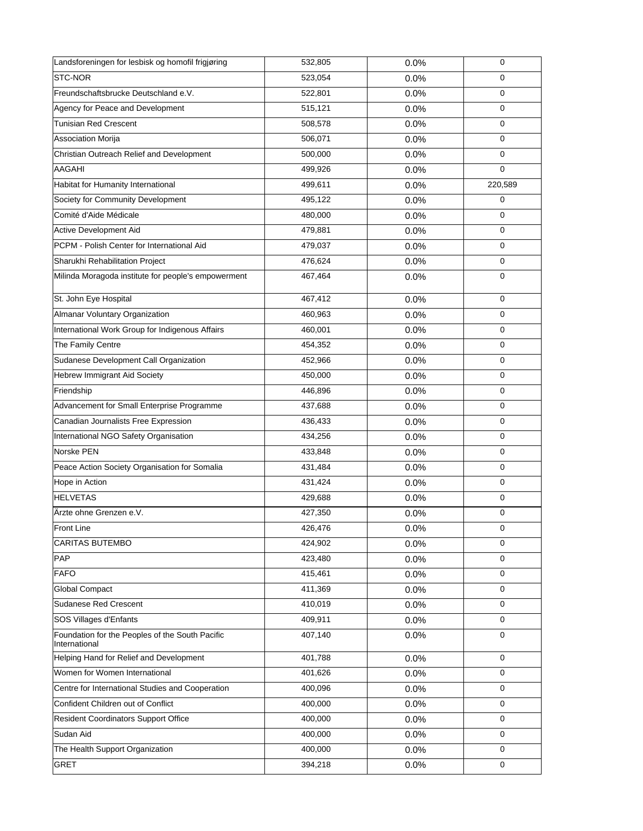| Landsforeningen for lesbisk og homofil frigjøring                | 532,805 | 0.0% | $\mathbf 0$ |
|------------------------------------------------------------------|---------|------|-------------|
| STC-NOR                                                          | 523,054 | 0.0% | 0           |
| Freundschaftsbrucke Deutschland e.V.                             | 522,801 | 0.0% | $\mathbf 0$ |
| Agency for Peace and Development                                 | 515,121 | 0.0% | 0           |
| <b>Tunisian Red Crescent</b>                                     | 508,578 | 0.0% | $\mathbf 0$ |
| Association Morija                                               | 506,071 | 0.0% | $\mathbf 0$ |
| Christian Outreach Relief and Development                        | 500,000 | 0.0% | $\mathbf 0$ |
| AAGAHI                                                           | 499,926 | 0.0% | 0           |
| Habitat for Humanity International                               | 499,611 | 0.0% | 220,589     |
| Society for Community Development                                | 495,122 | 0.0% | $\mathbf 0$ |
| Comité d'Aide Médicale                                           | 480,000 | 0.0% | 0           |
| Active Development Aid                                           | 479,881 | 0.0% | $\mathbf 0$ |
| PCPM - Polish Center for International Aid                       | 479,037 | 0.0% | 0           |
| Sharukhi Rehabilitation Project                                  | 476,624 | 0.0% | 0           |
| Milinda Moragoda institute for people's empowerment              | 467,464 | 0.0% | $\mathbf 0$ |
| St. John Eye Hospital                                            | 467,412 | 0.0% | $\mathbf 0$ |
| Almanar Voluntary Organization                                   | 460,963 | 0.0% | 0           |
| International Work Group for Indigenous Affairs                  | 460,001 | 0.0% | $\mathbf 0$ |
| The Family Centre                                                | 454,352 | 0.0% | 0           |
| Sudanese Development Call Organization                           | 452,966 | 0.0% | 0           |
| Hebrew Immigrant Aid Society                                     | 450,000 | 0.0% | $\mathbf 0$ |
| Friendship                                                       | 446,896 | 0.0% | $\mathbf 0$ |
| Advancement for Small Enterprise Programme                       | 437,688 | 0.0% | $\mathbf 0$ |
| Canadian Journalists Free Expression                             | 436,433 | 0.0% | 0           |
| International NGO Safety Organisation                            | 434,256 | 0.0% | 0           |
| Norske PEN                                                       | 433,848 | 0.0% | $\mathbf 0$ |
| Peace Action Society Organisation for Somalia                    | 431,484 | 0.0% | 0           |
| Hope in Action                                                   | 431,424 | 0.0% | $\mathbf 0$ |
| <b>HELVETAS</b>                                                  | 429,688 | 0.0% | 0           |
| Ärzte ohne Grenzen e.V.                                          | 427,350 | 0.0% | 0           |
| Front Line                                                       | 426,476 | 0.0% | $\pmb{0}$   |
| <b>CARITAS BUTEMBO</b>                                           | 424,902 | 0.0% | $\mathbf 0$ |
| PAP                                                              | 423,480 | 0.0% | $\mathbf 0$ |
| <b>FAFO</b>                                                      | 415,461 | 0.0% | $\mathbf 0$ |
| <b>Global Compact</b>                                            | 411,369 | 0.0% | $\mathbf 0$ |
| Sudanese Red Crescent                                            | 410,019 | 0.0% | $\mathbf 0$ |
| SOS Villages d'Enfants                                           | 409,911 | 0.0% | $\mathbf 0$ |
| Foundation for the Peoples of the South Pacific<br>International | 407,140 | 0.0% | $\mathbf 0$ |
| Helping Hand for Relief and Development                          | 401,788 | 0.0% | $\mathbf 0$ |
| Women for Women International                                    | 401,626 | 0.0% | 0           |
| Centre for International Studies and Cooperation                 | 400,096 | 0.0% | 0           |
| Confident Children out of Conflict                               | 400,000 | 0.0% | $\mathbf 0$ |
| <b>Resident Coordinators Support Office</b>                      | 400,000 | 0.0% | 0           |
| Sudan Aid                                                        | 400,000 | 0.0% | $\mathbf 0$ |
| The Health Support Organization                                  | 400,000 | 0.0% | $\mathbf 0$ |
| <b>GRET</b>                                                      | 394,218 | 0.0% | 0           |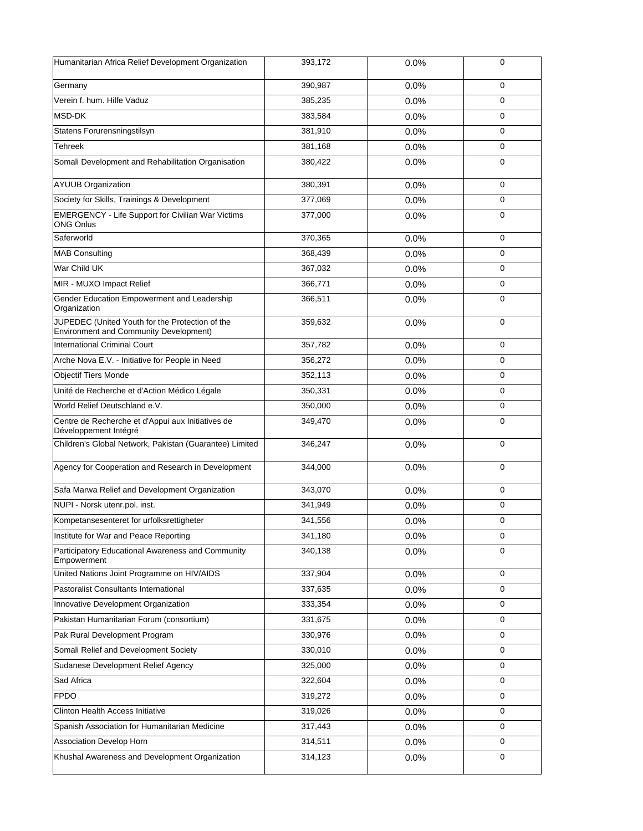| Humanitarian Africa Relief Development Organization                                              | 393,172 | 0.0% | 0           |
|--------------------------------------------------------------------------------------------------|---------|------|-------------|
| Germany                                                                                          | 390.987 | 0.0% | $\mathbf 0$ |
| Verein f. hum. Hilfe Vaduz                                                                       | 385,235 | 0.0% | $\mathbf 0$ |
| MSD-DK                                                                                           | 383,584 | 0.0% | $\mathbf 0$ |
| Statens Forurensningstilsyn                                                                      | 381,910 | 0.0% | $\mathbf 0$ |
| <b>Tehreek</b>                                                                                   | 381,168 | 0.0% | $\mathbf 0$ |
| Somali Development and Rehabilitation Organisation                                               | 380,422 | 0.0% | $\mathbf 0$ |
| <b>AYUUB Organization</b>                                                                        | 380,391 | 0.0% | 0           |
| Society for Skills, Trainings & Development                                                      | 377,069 | 0.0% | $\mathbf 0$ |
| <b>EMERGENCY - Life Support for Civilian War Victims</b><br><b>ONG Onlus</b>                     | 377,000 | 0.0% | $\mathbf 0$ |
| Saferworld                                                                                       | 370,365 | 0.0% | $\mathbf 0$ |
| <b>MAB Consulting</b>                                                                            | 368,439 | 0.0% | $\mathbf 0$ |
| War Child UK                                                                                     | 367,032 | 0.0% | $\Omega$    |
| MIR - MUXO Impact Relief                                                                         | 366,771 | 0.0% | $\mathbf 0$ |
| Gender Education Empowerment and Leadership<br>Organization                                      | 366,511 | 0.0% | $\mathbf 0$ |
| JUPEDEC (United Youth for the Protection of the<br><b>Environment and Community Development)</b> | 359,632 | 0.0% | $\mathbf 0$ |
| International Criminal Court                                                                     | 357,782 | 0.0% | $\mathbf 0$ |
| Arche Nova E.V. - Initiative for People in Need                                                  | 356,272 | 0.0% | $\mathbf 0$ |
| <b>Objectif Tiers Monde</b>                                                                      | 352,113 | 0.0% | $\mathbf 0$ |
| Unité de Recherche et d'Action Médico Légale                                                     | 350,331 | 0.0% | $\mathbf 0$ |
| World Relief Deutschland e.V.                                                                    | 350,000 | 0.0% | $\mathbf 0$ |
| Centre de Recherche et d'Appui aux Initiatives de<br>Développement Intégré                       | 349,470 | 0.0% | $\mathbf 0$ |
| Children's Global Network, Pakistan (Guarantee) Limited                                          | 346,247 | 0.0% | $\mathbf 0$ |
| Agency for Cooperation and Research in Development                                               | 344,000 | 0.0% | $\mathbf 0$ |
| Safa Marwa Relief and Development Organization                                                   | 343,070 | 0.0% | $\mathbf 0$ |
| NUPI - Norsk utenr.pol. inst.                                                                    | 341,949 | 0.0% | 0           |
| Kompetansesenteret for urfolksrettigheter                                                        | 341,556 | 0.0% | $\mathbf 0$ |
| Institute for War and Peace Reporting                                                            | 341,180 | 0.0% | $\mathbf 0$ |
| Participatory Educational Awareness and Community<br>Empowerment                                 | 340,138 | 0.0% | $\mathbf 0$ |
| United Nations Joint Programme on HIV/AIDS                                                       | 337,904 | 0.0% | $\mathbf 0$ |
| Pastoralist Consultants International                                                            | 337,635 | 0.0% | $\mathbf 0$ |
| Innovative Development Organization                                                              | 333,354 | 0.0% | 0           |
| Pakistan Humanitarian Forum (consortium)                                                         | 331,675 | 0.0% | 0           |
| Pak Rural Development Program                                                                    | 330,976 | 0.0% | $\mathbf 0$ |
| Somali Relief and Development Society                                                            | 330,010 | 0.0% | $\mathbf 0$ |
| Sudanese Development Relief Agency                                                               | 325,000 | 0.0% | $\mathbf 0$ |
| Sad Africa                                                                                       | 322,604 | 0.0% | $\mathbf 0$ |
| <b>FPDO</b>                                                                                      | 319,272 | 0.0% | $\mathbf 0$ |
| Clinton Health Access Initiative                                                                 | 319,026 | 0.0% | $\mathbf 0$ |
| Spanish Association for Humanitarian Medicine                                                    | 317,443 | 0.0% | 0           |
| Association Develop Horn                                                                         | 314,511 | 0.0% | $\mathbf 0$ |
| Khushal Awareness and Development Organization                                                   | 314,123 | 0.0% | 0           |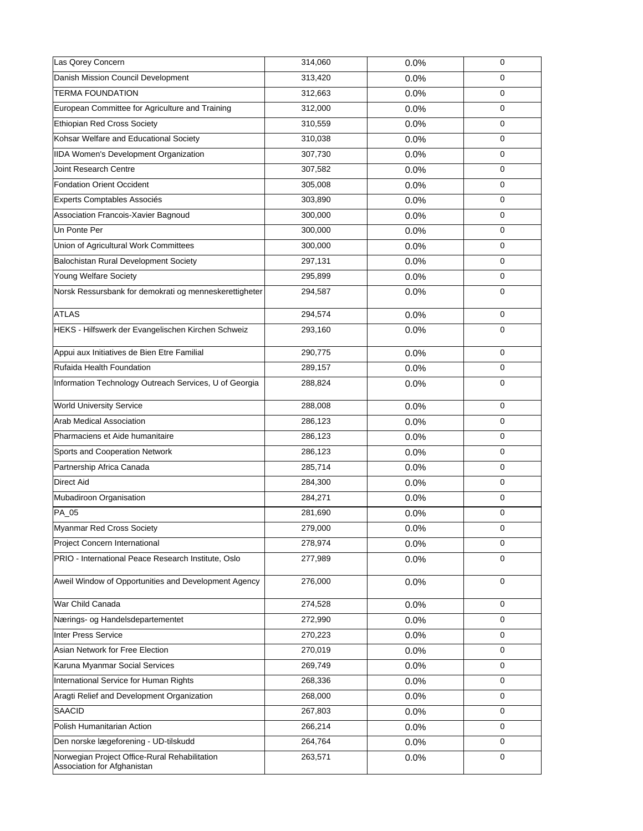| Las Qorey Concern                                                            | 314,060 | 0.0% | $\mathbf 0$ |
|------------------------------------------------------------------------------|---------|------|-------------|
| Danish Mission Council Development                                           | 313,420 | 0.0% | 0           |
| <b>TERMA FOUNDATION</b>                                                      | 312,663 | 0.0% | $\mathbf 0$ |
| European Committee for Agriculture and Training                              | 312,000 | 0.0% | 0           |
| <b>Ethiopian Red Cross Society</b>                                           | 310,559 | 0.0% | $\mathbf 0$ |
| Kohsar Welfare and Educational Society                                       | 310,038 | 0.0% | 0           |
| IIDA Women's Development Organization                                        | 307,730 | 0.0% | $\mathbf 0$ |
| Joint Research Centre                                                        | 307,582 | 0.0% | 0           |
| <b>Fondation Orient Occident</b>                                             | 305,008 | 0.0% | 0           |
| Experts Comptables Associés                                                  | 303,890 | 0.0% | $\mathbf 0$ |
| Association Francois-Xavier Bagnoud                                          | 300,000 | 0.0% | 0           |
| Un Ponte Per                                                                 | 300,000 | 0.0% | $\mathbf 0$ |
| Union of Agricultural Work Committees                                        | 300,000 | 0.0% | 0           |
| Balochistan Rural Development Society                                        | 297,131 | 0.0% | 0           |
| Young Welfare Society                                                        | 295,899 | 0.0% | 0           |
| Norsk Ressursbank for demokrati og menneskerettigheter                       | 294,587 | 0.0% | 0           |
| <b>ATLAS</b>                                                                 | 294,574 | 0.0% | 0           |
| HEKS - Hilfswerk der Evangelischen Kirchen Schweiz                           | 293,160 | 0.0% | $\mathbf 0$ |
| Appui aux Initiatives de Bien Etre Familial                                  | 290,775 | 0.0% | $\mathbf 0$ |
| Rufaida Health Foundation                                                    | 289,157 | 0.0% | 0           |
| Information Technology Outreach Services, U of Georgia                       | 288,824 | 0.0% | 0           |
| <b>World University Service</b>                                              | 288,008 | 0.0% | $\mathbf 0$ |
| Arab Medical Association                                                     | 286,123 | 0.0% | 0           |
| Pharmaciens et Aide humanitaire                                              | 286,123 | 0.0% | 0           |
| Sports and Cooperation Network                                               | 286,123 | 0.0% | $\mathbf 0$ |
| Partnership Africa Canada                                                    | 285,714 | 0.0% | 0           |
| <b>Direct Aid</b>                                                            | 284,300 | 0.0% | $\mathbf 0$ |
| Mubadiroon Organisation                                                      | 284,271 | 0.0% | 0           |
| PA_05                                                                        | 281,690 | 0.0% | 0           |
| Myanmar Red Cross Society                                                    | 279,000 | 0.0% | $\pmb{0}$   |
| Project Concern International                                                | 278,974 | 0.0% | 0           |
| PRIO - International Peace Research Institute, Oslo                          | 277,989 | 0.0% | $\mathbf 0$ |
| Aweil Window of Opportunities and Development Agency                         | 276,000 | 0.0% | $\mathbf 0$ |
| War Child Canada                                                             | 274,528 | 0.0% | 0           |
| Nærings- og Handelsdepartementet                                             | 272,990 | 0.0% | $\mathbf 0$ |
| <b>Inter Press Service</b>                                                   | 270,223 | 0.0% | $\mathbf 0$ |
| Asian Network for Free Election                                              | 270,019 | 0.0% | 0           |
| Karuna Myanmar Social Services                                               | 269,749 | 0.0% | 0           |
| International Service for Human Rights                                       | 268,336 | 0.0% | 0           |
| Aragti Relief and Development Organization                                   | 268,000 | 0.0% | $\mathbf 0$ |
| SAACID                                                                       | 267,803 | 0.0% | $\mathbf 0$ |
| Polish Humanitarian Action                                                   | 266,214 | 0.0% | 0           |
| Den norske lægeforening - UD-tilskudd                                        | 264,764 | 0.0% | 0           |
| Norwegian Project Office-Rural Rehabilitation<br>Association for Afghanistan | 263,571 | 0.0% | 0           |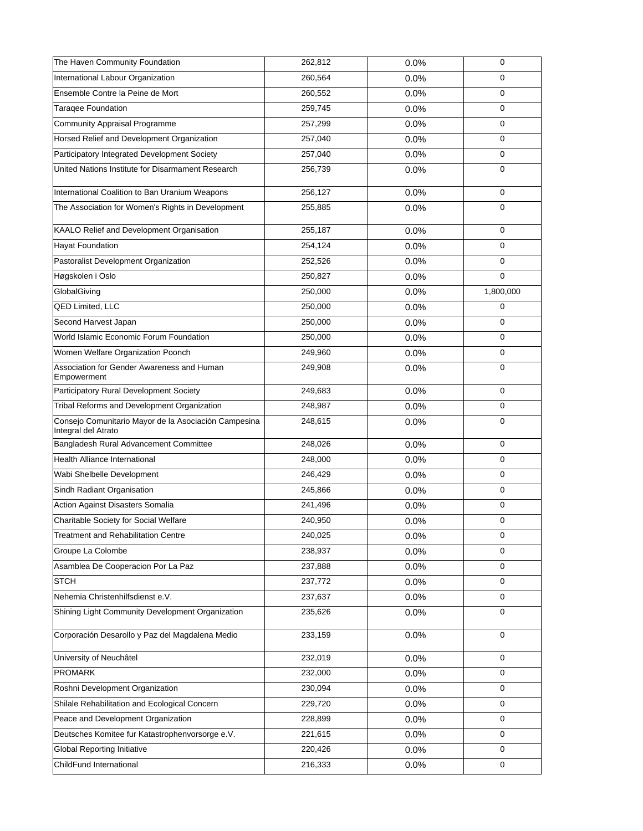| The Haven Community Foundation                                              | 262,812 | 0.0% | 0           |
|-----------------------------------------------------------------------------|---------|------|-------------|
| International Labour Organization                                           | 260,564 | 0.0% | $\mathbf 0$ |
| Ensemble Contre la Peine de Mort                                            | 260,552 | 0.0% | $\mathbf 0$ |
| Taraqee Foundation                                                          | 259,745 | 0.0% | 0           |
| Community Appraisal Programme                                               | 257,299 | 0.0% | $\mathbf 0$ |
| Horsed Relief and Development Organization                                  | 257,040 | 0.0% | $\mathbf 0$ |
| Participatory Integrated Development Society                                | 257,040 | 0.0% | $\mathbf 0$ |
| United Nations Institute for Disarmament Research                           | 256,739 | 0.0% | $\mathbf 0$ |
| International Coalition to Ban Uranium Weapons                              | 256,127 | 0.0% | $\mathbf 0$ |
| The Association for Women's Rights in Development                           | 255,885 | 0.0% | $\mathbf 0$ |
| KAALO Relief and Development Organisation                                   | 255,187 | 0.0% | $\mathbf 0$ |
| <b>Hayat Foundation</b>                                                     | 254,124 | 0.0% | $\mathbf 0$ |
| Pastoralist Development Organization                                        | 252,526 | 0.0% | $\mathbf 0$ |
| Høgskolen i Oslo                                                            | 250,827 | 0.0% | $\mathbf 0$ |
| GlobalGiving                                                                | 250,000 | 0.0% | 1,800,000   |
| <b>QED Limited, LLC</b>                                                     | 250,000 | 0.0% | $\mathbf 0$ |
| Second Harvest Japan                                                        | 250,000 | 0.0% | 0           |
| World Islamic Economic Forum Foundation                                     | 250,000 | 0.0% | $\mathbf 0$ |
| Women Welfare Organization Poonch                                           | 249,960 | 0.0% | 0           |
| Association for Gender Awareness and Human<br>Empowerment                   | 249,908 | 0.0% | $\mathbf 0$ |
| Participatory Rural Development Society                                     | 249,683 | 0.0% | $\mathbf 0$ |
| Tribal Reforms and Development Organization                                 | 248,987 | 0.0% | $\mathbf 0$ |
| Consejo Comunitario Mayor de la Asociación Campesina<br>Integral del Atrato | 248,615 | 0.0% | $\mathbf 0$ |
| Bangladesh Rural Advancement Committee                                      | 248,026 | 0.0% | $\mathbf 0$ |
| <b>Health Alliance International</b>                                        | 248,000 | 0.0% | 0           |
| Wabi Shelbelle Development                                                  | 246,429 | 0.0% | $\mathbf 0$ |
| Sindh Radiant Organisation                                                  | 245,866 | 0.0% | $\mathbf 0$ |
| <b>Action Against Disasters Somalia</b>                                     | 241,496 | 0.0% | 0           |
| Charitable Society for Social Welfare                                       | 240,950 | 0.0% | $\mathbf 0$ |
| <b>Treatment and Rehabilitation Centre</b>                                  | 240,025 | 0.0% | $\mathbf 0$ |
| Groupe La Colombe                                                           | 238,937 | 0.0% | 0           |
| Asamblea De Cooperacion Por La Paz                                          | 237,888 | 0.0% | $\mathbf 0$ |
| <b>STCH</b>                                                                 | 237,772 | 0.0% | 0           |
| Nehemia Christenhilfsdienst e.V.                                            | 237,637 | 0.0% | $\mathbf 0$ |
| Shining Light Community Development Organization                            | 235,626 | 0.0% | 0           |
| Corporación Desarollo y Paz del Magdalena Medio                             | 233,159 | 0.0% | $\mathbf 0$ |
| University of Neuchâtel                                                     | 232,019 | 0.0% | $\mathbf 0$ |
| <b>PROMARK</b>                                                              | 232,000 | 0.0% | $\mathbf 0$ |
| Roshni Development Organization                                             | 230,094 | 0.0% | 0           |
| Shilale Rehabilitation and Ecological Concern                               | 229,720 | 0.0% | 0           |
| Peace and Development Organization                                          | 228,899 | 0.0% | 0           |
| Deutsches Komitee fur Katastrophenvorsorge e.V.                             | 221,615 | 0.0% | $\mathbf 0$ |
| <b>Global Reporting Initiative</b>                                          | 220,426 | 0.0% | $\mathbf 0$ |
| ChildFund International                                                     | 216,333 | 0.0% | $\mathbf 0$ |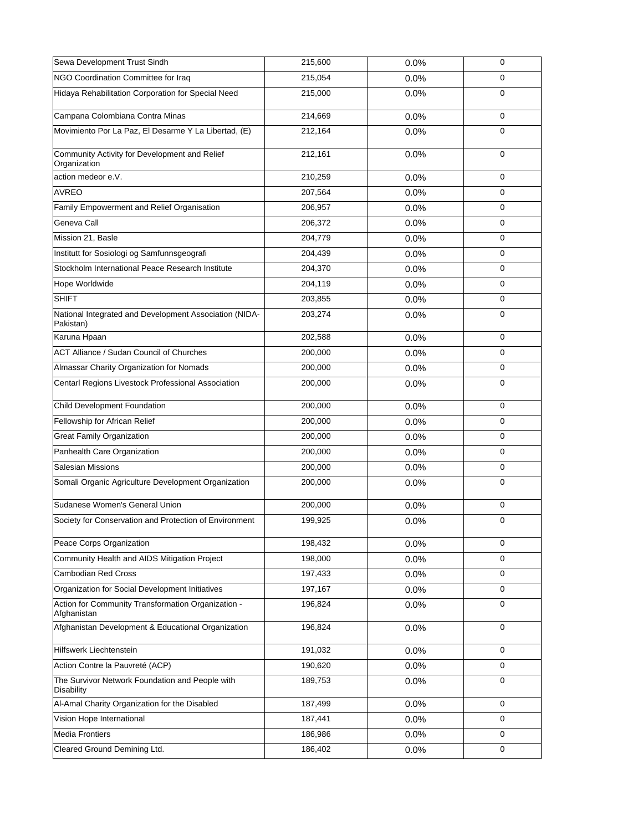| Sewa Development Trust Sindh                                         | 215,600 | 0.0% | $\mathbf 0$ |
|----------------------------------------------------------------------|---------|------|-------------|
| NGO Coordination Committee for Iraq                                  | 215,054 | 0.0% | 0           |
| Hidaya Rehabilitation Corporation for Special Need                   | 215,000 | 0.0% | $\mathbf 0$ |
| Campana Colombiana Contra Minas                                      | 214.669 | 0.0% | $\mathbf 0$ |
| Movimiento Por La Paz, El Desarme Y La Libertad, (E)                 | 212,164 | 0.0% | $\mathbf 0$ |
| Community Activity for Development and Relief<br>Organization        | 212,161 | 0.0% | $\mathbf 0$ |
| action medeor e.V.                                                   | 210,259 | 0.0% | $\mathbf 0$ |
| <b>AVREO</b>                                                         | 207,564 | 0.0% | $\Omega$    |
| Family Empowerment and Relief Organisation                           | 206,957 | 0.0% | $\mathbf 0$ |
| Geneva Call                                                          | 206,372 | 0.0% | $\mathbf 0$ |
| Mission 21, Basle                                                    | 204,779 | 0.0% | $\mathbf 0$ |
| Institutt for Sosiologi og Samfunnsgeografi                          | 204,439 | 0.0% | 0           |
| Stockholm International Peace Research Institute                     | 204,370 | 0.0% | $\mathbf 0$ |
| Hope Worldwide                                                       | 204,119 | 0.0% | 0           |
| <b>SHIFT</b>                                                         | 203,855 | 0.0% | $\mathbf 0$ |
| National Integrated and Development Association (NIDA-<br>Pakistan)  | 203,274 | 0.0% | $\mathbf 0$ |
| Karuna Hpaan                                                         | 202,588 | 0.0% | $\mathbf 0$ |
| <b>ACT Alliance / Sudan Council of Churches</b>                      | 200,000 | 0.0% | $\mathbf 0$ |
| Almassar Charity Organization for Nomads                             | 200,000 | 0.0% | $\mathbf 0$ |
| Centarl Regions Livestock Professional Association                   | 200,000 | 0.0% | $\mathbf 0$ |
| Child Development Foundation                                         | 200,000 | 0.0% | $\mathbf 0$ |
| Fellowship for African Relief                                        | 200,000 | 0.0% | 0           |
| <b>Great Family Organization</b>                                     | 200,000 | 0.0% | $\mathbf 0$ |
| Panhealth Care Organization                                          | 200,000 | 0.0% | $\mathbf 0$ |
| <b>Salesian Missions</b>                                             | 200,000 | 0.0% | 0           |
| Somali Organic Agriculture Development Organization                  | 200,000 | 0.0% | $\mathbf 0$ |
| Sudanese Women's General Union                                       | 200,000 | 0.0% | 0           |
| Society for Conservation and Protection of Environment               | 199,925 | 0.0% | 0           |
| Peace Corps Organization                                             | 198,432 | 0.0% | $\mathbf 0$ |
| Community Health and AIDS Mitigation Project                         | 198,000 | 0.0% | $\mathbf 0$ |
| <b>Cambodian Red Cross</b>                                           | 197,433 | 0.0% | $\mathbf 0$ |
| Organization for Social Development Initiatives                      | 197,167 | 0.0% | $\mathbf 0$ |
| Action for Community Transformation Organization -<br>Afghanistan    | 196,824 | 0.0% | $\mathbf 0$ |
| Afghanistan Development & Educational Organization                   | 196,824 | 0.0% | $\mathbf 0$ |
| Hilfswerk Liechtenstein                                              | 191,032 | 0.0% | $\mathbf 0$ |
| Action Contre la Pauvreté (ACP)                                      | 190,620 | 0.0% | $\mathbf 0$ |
| The Survivor Network Foundation and People with<br><b>Disability</b> | 189,753 | 0.0% | 0           |
| Al-Amal Charity Organization for the Disabled                        | 187,499 | 0.0% | $\mathbf 0$ |
| Vision Hope International                                            | 187,441 | 0.0% | $\mathbf 0$ |
| Media Frontiers                                                      | 186,986 | 0.0% | $\mathbf 0$ |
| Cleared Ground Demining Ltd.                                         | 186,402 | 0.0% | $\mathbf 0$ |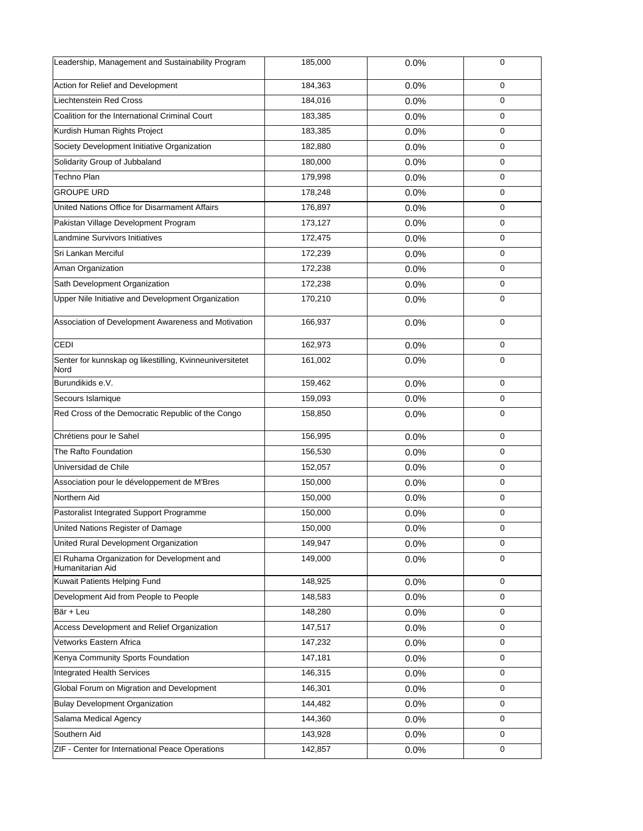| Leadership, Management and Sustainability Program                | 185,000 | 0.0% | $\mathbf 0$ |
|------------------------------------------------------------------|---------|------|-------------|
| Action for Relief and Development                                | 184,363 | 0.0% | $\mathbf 0$ |
| Liechtenstein Red Cross                                          | 184,016 | 0.0% | $\mathbf 0$ |
| Coalition for the International Criminal Court                   | 183,385 | 0.0% | $\mathbf 0$ |
| Kurdish Human Rights Project                                     | 183,385 | 0.0% | $\mathbf 0$ |
| Society Development Initiative Organization                      | 182,880 | 0.0% | 0           |
| Solidarity Group of Jubbaland                                    | 180,000 | 0.0% | $\mathbf 0$ |
| Techno Plan                                                      | 179,998 | 0.0% | $\mathbf 0$ |
| <b>GROUPE URD</b>                                                | 178,248 | 0.0% | $\mathbf 0$ |
| United Nations Office for Disarmament Affairs                    | 176,897 | 0.0% | 0           |
| Pakistan Village Development Program                             | 173,127 | 0.0% | 0           |
| Landmine Survivors Initiatives                                   | 172,475 | 0.0% | $\mathbf 0$ |
| Sri Lankan Merciful                                              | 172,239 | 0.0% | 0           |
| Aman Organization                                                | 172,238 | 0.0% | $\mathbf 0$ |
| Sath Development Organization                                    | 172,238 | 0.0% | 0           |
| Upper Nile Initiative and Development Organization               | 170,210 | 0.0% | $\mathbf 0$ |
| Association of Development Awareness and Motivation              | 166,937 | 0.0% | $\mathbf 0$ |
| CEDI                                                             | 162,973 | 0.0% | $\mathbf 0$ |
| Senter for kunnskap og likestilling, Kvinneuniversitetet<br>Nord | 161,002 | 0.0% | $\mathbf 0$ |
| Burundikids e.V.                                                 | 159,462 | 0.0% | $\mathbf 0$ |
| Secours Islamique                                                | 159,093 | 0.0% | 0           |
| Red Cross of the Democratic Republic of the Congo                | 158,850 | 0.0% | $\mathbf 0$ |
| Chrétiens pour le Sahel                                          | 156,995 | 0.0% | 0           |
| The Rafto Foundation                                             | 156,530 | 0.0% | $\mathbf 0$ |
| Universidad de Chile                                             | 152,057 | 0.0% | $\mathbf 0$ |
| Association pour le développement de M'Bres                      | 150,000 | 0.0% | $\mathbf 0$ |
| Northern Aid                                                     | 150,000 | 0.0% | 0           |
| Pastoralist Integrated Support Programme                         | 150,000 | 0.0% | $\mathbf 0$ |
| United Nations Register of Damage                                | 150,000 | 0.0% | $\pmb{0}$   |
| United Rural Development Organization                            | 149,947 | 0.0% | $\mathbf 0$ |
| El Ruhama Organization for Development and<br>Humanitarian Aid   | 149,000 | 0.0% | $\mathbf 0$ |
| Kuwait Patients Helping Fund                                     | 148,925 | 0.0% | 0           |
| Development Aid from People to People                            | 148,583 | 0.0% | $\mathbf 0$ |
| Bär + Leu                                                        | 148,280 | 0.0% | 0           |
| Access Development and Relief Organization                       | 147,517 | 0.0% | $\mathbf 0$ |
| Vetworks Eastern Africa                                          | 147,232 | 0.0% | 0           |
| Kenya Community Sports Foundation                                | 147,181 | 0.0% | 0           |
| <b>Integrated Health Services</b>                                | 146,315 | 0.0% | $\mathbf 0$ |
| Global Forum on Migration and Development                        | 146,301 | 0.0% | 0           |
| <b>Bulay Development Organization</b>                            | 144,482 | 0.0% | $\mathbf 0$ |
| Salama Medical Agency                                            | 144,360 | 0.0% | 0           |
| Southern Aid                                                     | 143,928 | 0.0% | $\mathbf 0$ |
| ZIF - Center for International Peace Operations                  | 142,857 | 0.0% | 0           |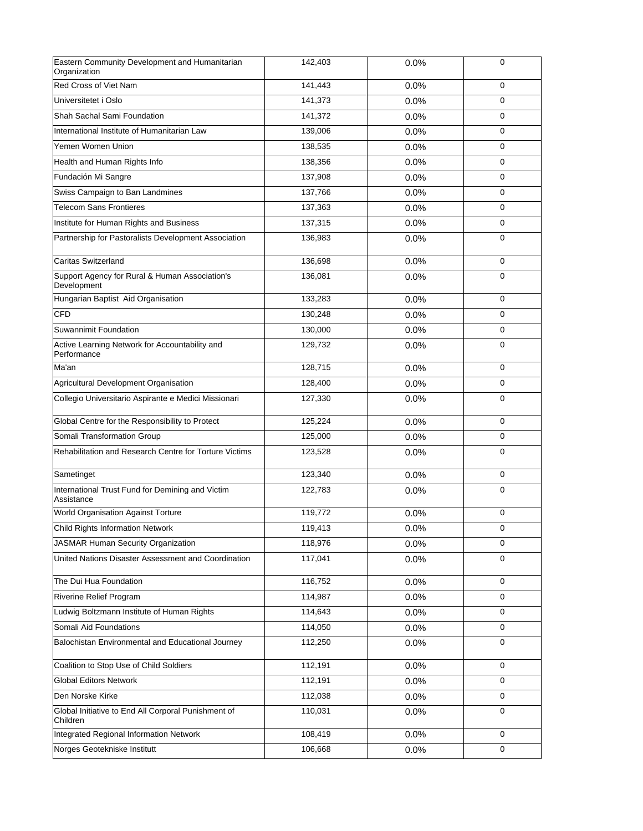| Eastern Community Development and Humanitarian<br>Organization  | 142,403 | 0.0% | $\mathbf 0$ |
|-----------------------------------------------------------------|---------|------|-------------|
| Red Cross of Viet Nam                                           | 141,443 | 0.0% | $\mathbf 0$ |
| Universitetet i Oslo                                            | 141,373 | 0.0% | $\mathbf 0$ |
| Shah Sachal Sami Foundation                                     | 141,372 | 0.0% | $\mathbf 0$ |
| International Institute of Humanitarian Law                     | 139,006 | 0.0% | 0           |
| Yemen Women Union                                               | 138,535 | 0.0% | 0           |
| Health and Human Rights Info                                    | 138,356 | 0.0% | $\mathbf 0$ |
| Fundación Mi Sangre                                             | 137,908 | 0.0% | $\mathbf 0$ |
| Swiss Campaign to Ban Landmines                                 | 137,766 | 0.0% | $\Omega$    |
| <b>Telecom Sans Frontieres</b>                                  | 137,363 | 0.0% | $\mathbf 0$ |
| Institute for Human Rights and Business                         | 137,315 | 0.0% | $\mathbf 0$ |
| Partnership for Pastoralists Development Association            | 136,983 | 0.0% | $\mathbf 0$ |
| <b>Caritas Switzerland</b>                                      | 136,698 | 0.0% | $\mathbf 0$ |
| Support Agency for Rural & Human Association's<br>Development   | 136,081 | 0.0% | $\mathbf 0$ |
| Hungarian Baptist Aid Organisation                              | 133,283 | 0.0% | $\mathbf 0$ |
| CFD                                                             | 130,248 | 0.0% | $\mathbf 0$ |
| Suwannimit Foundation                                           | 130,000 | 0.0% | 0           |
| Active Learning Network for Accountability and<br>Performance   | 129,732 | 0.0% | 0           |
| Ma'an                                                           | 128,715 | 0.0% | $\mathbf 0$ |
| Agricultural Development Organisation                           | 128,400 | 0.0% | $\mathbf 0$ |
| Collegio Universitario Aspirante e Medici Missionari            | 127,330 | 0.0% | $\mathbf 0$ |
| Global Centre for the Responsibility to Protect                 | 125,224 | 0.0% | $\mathbf 0$ |
| Somali Transformation Group                                     | 125,000 | 0.0% | $\mathbf 0$ |
| Rehabilitation and Research Centre for Torture Victims          | 123,528 | 0.0% | $\mathbf 0$ |
| Sametinget                                                      | 123,340 | 0.0% | $\mathbf 0$ |
| International Trust Fund for Demining and Victim<br>Assistance  | 122,783 | 0.0% | $\mathbf 0$ |
| World Organisation Against Torture                              | 119,772 | 0.0% | 0           |
| Child Rights Information Network                                | 119,413 | 0.0% | $\pmb{0}$   |
| <b>JASMAR Human Security Organization</b>                       | 118,976 | 0.0% | $\mathbf 0$ |
| United Nations Disaster Assessment and Coordination             | 117,041 | 0.0% | $\mathbf 0$ |
| The Dui Hua Foundation                                          | 116,752 | 0.0% | $\mathbf 0$ |
| <b>Riverine Relief Program</b>                                  | 114,987 | 0.0% | $\mathbf 0$ |
| Ludwig Boltzmann Institute of Human Rights                      | 114,643 | 0.0% | 0           |
| Somali Aid Foundations                                          | 114,050 | 0.0% | $\mathbf 0$ |
| Balochistan Environmental and Educational Journey               | 112,250 | 0.0% | 0           |
| Coalition to Stop Use of Child Soldiers                         | 112,191 | 0.0% | $\mathbf 0$ |
| <b>Global Editors Network</b>                                   | 112,191 | 0.0% | 0           |
| Den Norske Kirke                                                | 112,038 | 0.0% | $\mathbf 0$ |
| Global Initiative to End All Corporal Punishment of<br>Children | 110,031 | 0.0% | $\mathbf 0$ |
| Integrated Regional Information Network                         | 108,419 | 0.0% | $\mathbf 0$ |
| Norges Geotekniske Institutt                                    | 106,668 | 0.0% | 0           |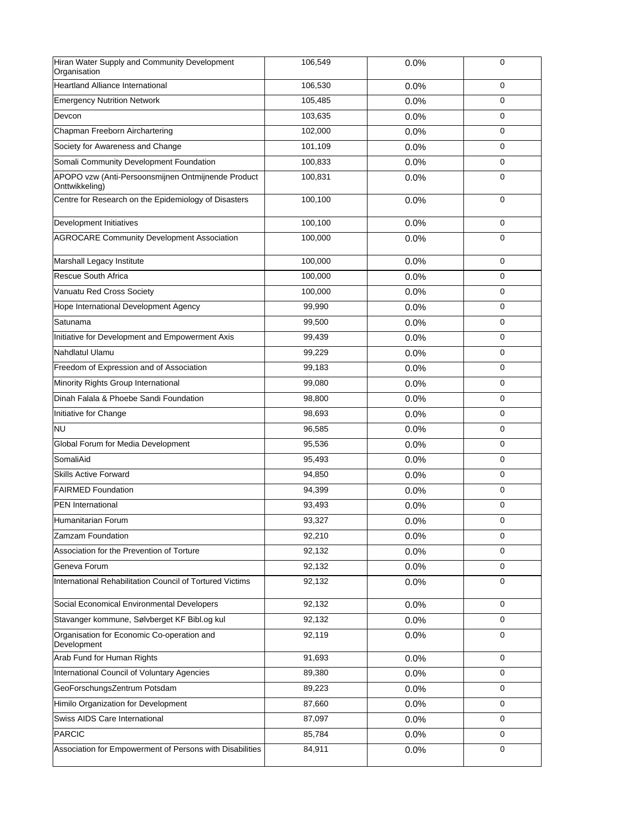| Hiran Water Supply and Community Development<br>Organisation         | 106,549 | 0.0% | $\mathbf 0$ |
|----------------------------------------------------------------------|---------|------|-------------|
| <b>Heartland Alliance International</b>                              | 106,530 | 0.0% | $\mathbf 0$ |
| <b>Emergency Nutrition Network</b>                                   | 105,485 | 0.0% | $\mathbf 0$ |
| Devcon                                                               | 103,635 | 0.0% | $\mathbf 0$ |
| Chapman Freeborn Airchartering                                       | 102,000 | 0.0% | $\mathbf 0$ |
| Society for Awareness and Change                                     | 101,109 | 0.0% | 0           |
| Somali Community Development Foundation                              | 100,833 | 0.0% | $\mathbf 0$ |
| APOPO vzw (Anti-Persoonsmijnen Ontmijnende Product<br>Onttwikkeling) | 100,831 | 0.0% | $\mathbf 0$ |
| Centre for Research on the Epidemiology of Disasters                 | 100,100 | 0.0% | $\mathbf 0$ |
| Development Initiatives                                              | 100,100 | 0.0% | $\mathbf 0$ |
| <b>AGROCARE Community Development Association</b>                    | 100,000 | 0.0% | $\mathbf 0$ |
| Marshall Legacy Institute                                            | 100,000 | 0.0% | $\mathbf 0$ |
| <b>Rescue South Africa</b>                                           | 100,000 | 0.0% | $\mathbf 0$ |
| Vanuatu Red Cross Society                                            | 100,000 | 0.0% | 0           |
| Hope International Development Agency                                | 99,990  | 0.0% | $\mathbf 0$ |
| Satunama                                                             | 99,500  | 0.0% | 0           |
| Initiative for Development and Empowerment Axis                      | 99,439  | 0.0% | $\mathbf 0$ |
| Nahdlatul Ulamu                                                      | 99,229  | 0.0% | $\mathbf 0$ |
| Freedom of Expression and of Association                             | 99,183  | 0.0% | $\mathbf 0$ |
| Minority Rights Group International                                  | 99,080  | 0.0% | $\mathbf 0$ |
| Dinah Falala & Phoebe Sandi Foundation                               | 98,800  | 0.0% | $\mathbf 0$ |
| Initiative for Change                                                | 98,693  | 0.0% | $\mathbf 0$ |
| NU                                                                   | 96,585  | 0.0% | $\mathbf 0$ |
| Global Forum for Media Development                                   | 95,536  | 0.0% | $\mathbf 0$ |
| SomaliAid                                                            | 95,493  | 0.0% | $\mathbf 0$ |
| <b>Skills Active Forward</b>                                         | 94,850  | 0.0% | $\mathbf 0$ |
| <b>FAIRMED Foundation</b>                                            | 94,399  | 0.0% | 0           |
| <b>PEN</b> International                                             | 93,493  | 0.0% | 0           |
| Humanitarian Forum                                                   | 93,327  | 0.0% | 0           |
| Zamzam Foundation                                                    | 92,210  | 0.0% | $\mathbf 0$ |
| Association for the Prevention of Torture                            | 92,132  | 0.0% | $\mathbf 0$ |
| Geneva Forum                                                         | 92,132  | 0.0% | 0           |
| International Rehabilitation Council of Tortured Victims             | 92,132  | 0.0% | $\mathbf 0$ |
| Social Economical Environmental Developers                           | 92,132  | 0.0% | $\mathbf 0$ |
| Stavanger kommune, Sølvberget KF Bibl.og kul                         | 92,132  | 0.0% | 0           |
| Organisation for Economic Co-operation and<br>Development            | 92,119  | 0.0% | $\mathbf 0$ |
| Arab Fund for Human Rights                                           | 91,693  | 0.0% | $\mathbf 0$ |
| International Council of Voluntary Agencies                          | 89,380  | 0.0% | 0           |
| GeoForschungsZentrum Potsdam                                         | 89,223  | 0.0% | 0           |
| Himilo Organization for Development                                  | 87,660  | 0.0% | $\mathbf 0$ |
| Swiss AIDS Care International                                        | 87,097  | 0.0% | 0           |
| PARCIC                                                               | 85,784  | 0.0% | $\mathbf 0$ |
| Association for Empowerment of Persons with Disabilities             | 84,911  | 0.0% | 0           |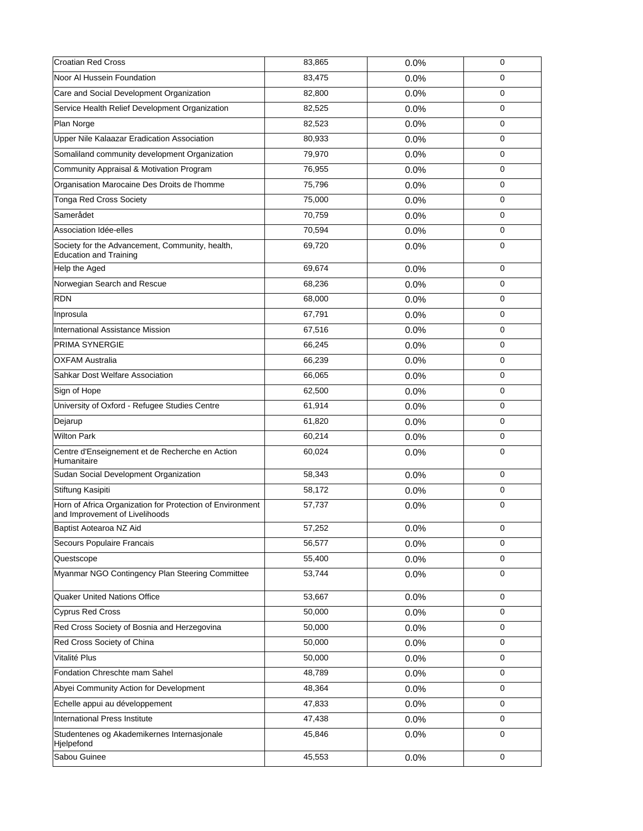| Croatian Red Cross                                                                          | 83,865 | 0.0% | $\mathbf 0$ |
|---------------------------------------------------------------------------------------------|--------|------|-------------|
| Noor Al Hussein Foundation                                                                  | 83,475 | 0.0% | 0           |
| Care and Social Development Organization                                                    | 82,800 | 0.0% | $\mathbf 0$ |
| Service Health Relief Development Organization                                              | 82,525 | 0.0% | 0           |
| Plan Norge                                                                                  | 82,523 | 0.0% | $\mathbf 0$ |
| Upper Nile Kalaazar Eradication Association                                                 | 80,933 | 0.0% | $\mathbf 0$ |
| Somaliland community development Organization                                               | 79,970 | 0.0% | $\mathbf 0$ |
| Community Appraisal & Motivation Program                                                    | 76,955 | 0.0% | 0           |
| Organisation Marocaine Des Droits de l'homme                                                | 75,796 | 0.0% | 0           |
| <b>Tonga Red Cross Society</b>                                                              | 75,000 | 0.0% | $\mathbf 0$ |
| Samerådet                                                                                   | 70,759 | 0.0% | 0           |
| Association Idée-elles                                                                      | 70,594 | 0.0% | $\mathbf 0$ |
| Society for the Advancement, Community, health,<br><b>Education and Training</b>            | 69,720 | 0.0% | 0           |
| Help the Aged                                                                               | 69,674 | 0.0% | 0           |
| Norwegian Search and Rescue                                                                 | 68,236 | 0.0% | 0           |
| RDN                                                                                         | 68,000 | 0.0% | $\mathbf 0$ |
| Inprosula                                                                                   | 67,791 | 0.0% | $\mathbf 0$ |
| International Assistance Mission                                                            | 67,516 | 0.0% | $\mathbf 0$ |
| <b>PRIMA SYNERGIE</b>                                                                       | 66,245 | 0.0% | 0           |
| <b>OXFAM Australia</b>                                                                      | 66,239 | 0.0% | 0           |
| Sahkar Dost Welfare Association                                                             | 66,065 | 0.0% | $\mathbf 0$ |
| Sign of Hope                                                                                | 62,500 | 0.0% | $\mathbf 0$ |
| University of Oxford - Refugee Studies Centre                                               | 61,914 | 0.0% | $\mathbf 0$ |
| Dejarup                                                                                     | 61,820 | 0.0% | 0           |
| Wilton Park                                                                                 | 60,214 | 0.0% | $\pmb{0}$   |
| Centre d'Enseignement et de Recherche en Action<br>Humanitaire                              | 60,024 | 0.0% | $\mathbf 0$ |
| Sudan Social Development Organization                                                       | 58,343 | 0.0% | $\mathbf 0$ |
| Stiftung Kasipiti                                                                           | 58,172 | 0.0% | 0           |
| Horn of Africa Organization for Protection of Environment<br>and Improvement of Livelihoods | 57,737 | 0.0% | $\mathbf 0$ |
| Baptist Aotearoa NZ Aid                                                                     | 57,252 | 0.0% | $\pmb{0}$   |
| Secours Populaire Francais                                                                  | 56,577 | 0.0% | $\mathbf 0$ |
| Questscope                                                                                  | 55,400 | 0.0% | $\mathbf 0$ |
| Myanmar NGO Contingency Plan Steering Committee                                             | 53,744 | 0.0% | $\mathbf 0$ |
| Quaker United Nations Office                                                                | 53,667 | 0.0% | $\mathbf 0$ |
| <b>Cyprus Red Cross</b>                                                                     | 50,000 | 0.0% | 0           |
| Red Cross Society of Bosnia and Herzegovina                                                 | 50,000 | 0.0% | $\mathbf 0$ |
| Red Cross Society of China                                                                  | 50,000 | 0.0% | 0           |
| Vitalité Plus                                                                               | 50,000 | 0.0% | $\mathbf 0$ |
| Fondation Chreschte mam Sahel                                                               | 48,789 | 0.0% | 0           |
| Abyei Community Action for Development                                                      | 48,364 | 0.0% | 0           |
| Echelle appui au développement                                                              | 47,833 | 0.0% | $\mathbf 0$ |
| International Press Institute                                                               | 47,438 | 0.0% | 0           |
| Studentenes og Akademikernes Internasjonale<br>Hjelpefond                                   | 45,846 | 0.0% | $\mathbf 0$ |
| Sabou Guinee                                                                                | 45,553 | 0.0% | 0           |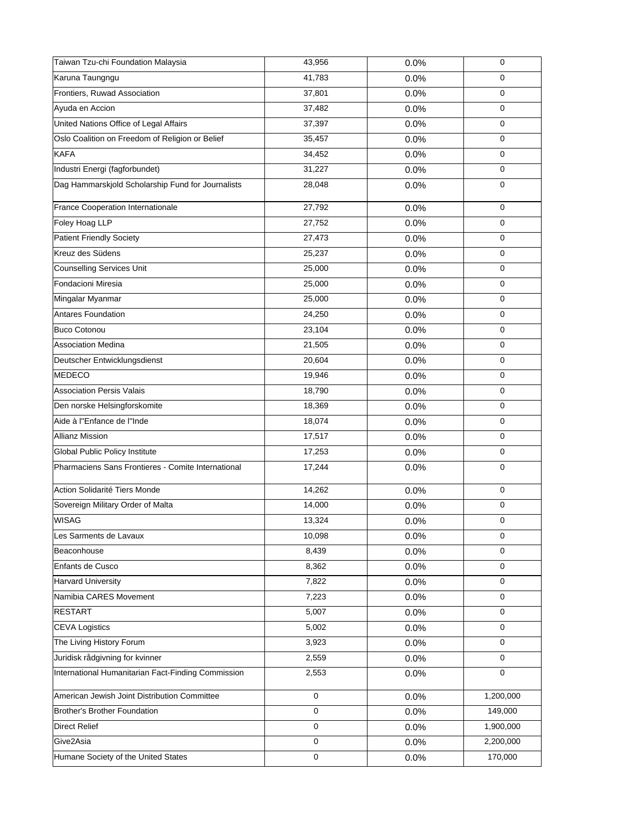| Taiwan Tzu-chi Foundation Malaysia                 | 43,956      | 0.0% | 0           |
|----------------------------------------------------|-------------|------|-------------|
| Karuna Taungngu                                    | 41,783      | 0.0% | $\mathbf 0$ |
| Frontiers, Ruwad Association                       | 37,801      | 0.0% | $\mathbf 0$ |
| Ayuda en Accion                                    | 37,482      | 0.0% | 0           |
| United Nations Office of Legal Affairs             | 37,397      | 0.0% | $\mathbf 0$ |
| Oslo Coalition on Freedom of Religion or Belief    | 35,457      | 0.0% | 0           |
| <b>KAFA</b>                                        | 34,452      | 0.0% | $\mathbf 0$ |
| Industri Energi (fagforbundet)                     | 31,227      | 0.0% | $\mathbf 0$ |
| Dag Hammarskjold Scholarship Fund for Journalists  | 28,048      | 0.0% | 0           |
| France Cooperation Internationale                  | 27,792      | 0.0% | $\mathbf 0$ |
| Foley Hoag LLP                                     | 27,752      | 0.0% | $\mathbf 0$ |
| Patient Friendly Society                           | 27,473      | 0.0% | 0           |
| Kreuz des Südens                                   | 25,237      | 0.0% | 0           |
| <b>Counselling Services Unit</b>                   | 25,000      | 0.0% | $\mathbf 0$ |
| Fondacioni Miresia                                 | 25,000      | 0.0% | $\mathbf 0$ |
| Mingalar Myanmar                                   | 25,000      | 0.0% | $\mathbf 0$ |
| Antares Foundation                                 | 24,250      | 0.0% | 0           |
| <b>Buco Cotonou</b>                                | 23,104      | 0.0% | 0           |
| <b>Association Medina</b>                          | 21,505      | 0.0% | $\mathbf 0$ |
| Deutscher Entwicklungsdienst                       | 20,604      | 0.0% | 0           |
| MEDECO                                             | 19,946      | 0.0% | $\mathbf 0$ |
| <b>Association Persis Valais</b>                   | 18,790      | 0.0% | 0           |
| Den norske Helsingforskomite                       | 18,369      | 0.0% | $\mathbf 0$ |
| Aide à l''Enfance de l''Inde                       | 18,074      | 0.0% | $\mathbf 0$ |
| <b>Allianz Mission</b>                             | 17,517      | 0.0% | 0           |
| Global Public Policy Institute                     | 17,253      | 0.0% | $\mathbf 0$ |
| Pharmaciens Sans Frontieres - Comite International | 17,244      | 0.0% | $\mathbf 0$ |
| Action Solidarité Tiers Monde                      | 14,262      | 0.0% | $\mathbf 0$ |
| Sovereign Military Order of Malta                  | 14,000      | 0.0% | 0           |
| WISAG                                              | 13,324      | 0.0% | 0           |
| Les Sarments de Lavaux                             | 10,098      | 0.0% | $\mathbf 0$ |
| Beaconhouse                                        | 8,439       | 0.0% | $\mathbf 0$ |
| Enfants de Cusco                                   | 8,362       | 0.0% | $\mathbf 0$ |
| <b>Harvard University</b>                          | 7,822       | 0.0% | $\mathbf 0$ |
| Namibia CARES Movement                             | 7,223       | 0.0% | $\mathbf 0$ |
| <b>RESTART</b>                                     | 5,007       | 0.0% | 0           |
| <b>CEVA Logistics</b>                              | 5,002       | 0.0% | $\mathbf 0$ |
| The Living History Forum                           | 3,923       | 0.0% | 0           |
| Juridisk rådgivning for kvinner                    | 2,559       | 0.0% | $\mathbf 0$ |
| International Humanitarian Fact-Finding Commission | 2,553       | 0.0% | $\mathbf 0$ |
| American Jewish Joint Distribution Committee       | $\mathsf 0$ | 0.0% | 1,200,000   |
| Brother's Brother Foundation                       | $\mathbf 0$ | 0.0% | 149,000     |
| <b>Direct Relief</b>                               | 0           | 0.0% | 1,900,000   |
| Give2Asia                                          | 0           | 0.0% | 2,200,000   |
| Humane Society of the United States                | $\pmb{0}$   | 0.0% | 170,000     |